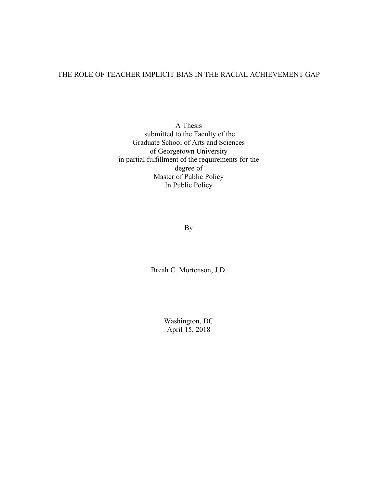## THE ROLE OF TEACHER IMPLICIT BIAS IN THE RACIAL ACHIEVEMENT GAP

A Thesis submitted to the Faculty of the Graduate School of Arts and Sciences of Georgetown University in partial fulfillment of the requirements for the degree of Master of Public Policy In Public Policy

By

Breah C. Mortenson, J.D.

Washington, DC April 15, 2018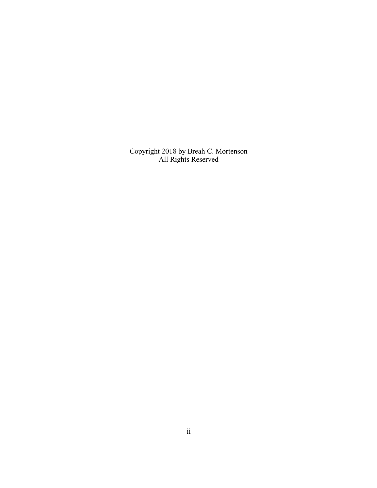Copyright 2018 by Breah C. Mortenson All Rights Reserved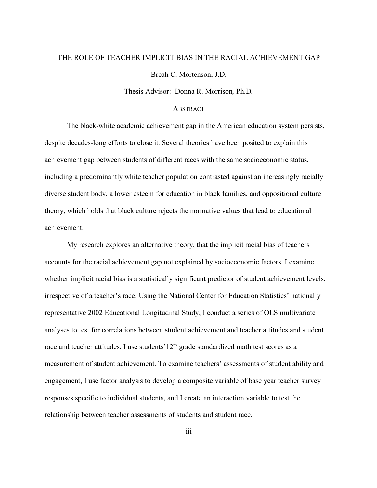# THE ROLE OF TEACHER IMPLICIT BIAS IN THE RACIAL ACHIEVEMENT GAP Breah C. Mortenson, J.D.

Thesis Advisor:Donna R. Morrison*,* Ph.D*.* 

## **ABSTRACT**

The black-white academic achievement gap in the American education system persists, despite decades-long efforts to close it. Several theories have been posited to explain this achievement gap between students of different races with the same socioeconomic status, including a predominantly white teacher population contrasted against an increasingly racially diverse student body, a lower esteem for education in black families, and oppositional culture theory, which holds that black culture rejects the normative values that lead to educational achievement.

 My research explores an alternative theory, that the implicit racial bias of teachers accounts for the racial achievement gap not explained by socioeconomic factors. I examine whether implicit racial bias is a statistically significant predictor of student achievement levels, irrespective of a teacher's race. Using the National Center for Education Statistics' nationally representative 2002 Educational Longitudinal Study, I conduct a series of OLS multivariate analyses to test for correlations between student achievement and teacher attitudes and student race and teacher attitudes. I use students'12<sup>th</sup> grade standardized math test scores as a measurement of student achievement. To examine teachers' assessments of student ability and engagement, I use factor analysis to develop a composite variable of base year teacher survey responses specific to individual students, and I create an interaction variable to test the relationship between teacher assessments of students and student race.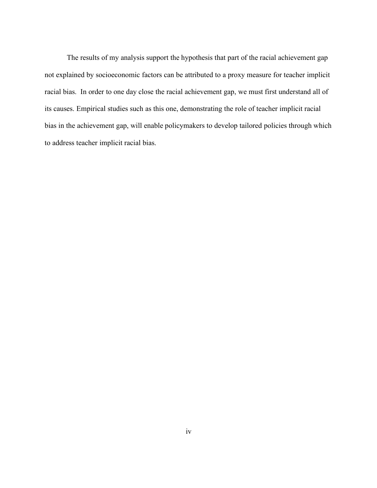The results of my analysis support the hypothesis that part of the racial achievement gap not explained by socioeconomic factors can be attributed to a proxy measure for teacher implicit racial bias. In order to one day close the racial achievement gap, we must first understand all of its causes. Empirical studies such as this one, demonstrating the role of teacher implicit racial bias in the achievement gap, will enable policymakers to develop tailored policies through which to address teacher implicit racial bias.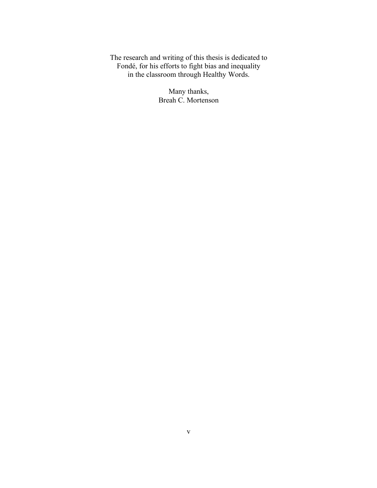The research and writing of this thesis is dedicated to Fondé, for his efforts to fight bias and inequality in the classroom through Healthy Words.

> Many thanks, Breah C. Mortenson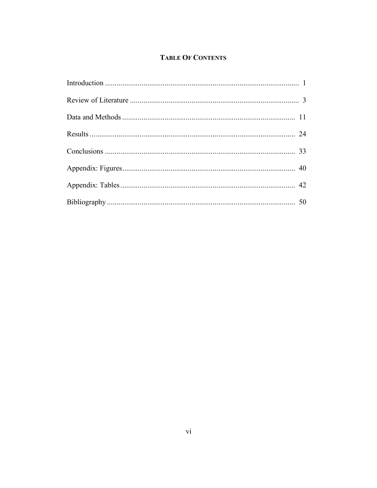# **TABLE OF CONTENTS**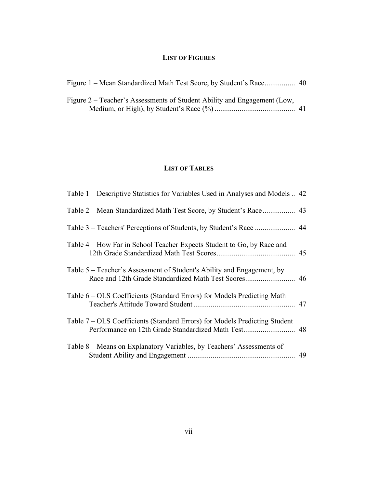# **LIST OF FIGURES**

| Figure 2 – Teacher's Assessments of Student Ability and Engagement (Low, |  |
|--------------------------------------------------------------------------|--|

# **LIST OF TABLES**

| Table 1 – Descriptive Statistics for Variables Used in Analyses and Models  42 |  |
|--------------------------------------------------------------------------------|--|
|                                                                                |  |
|                                                                                |  |
| Table 4 – How Far in School Teacher Expects Student to Go, by Race and         |  |
| Table 5 – Teacher's Assessment of Student's Ability and Engagement, by         |  |
| Table 6 – OLS Coefficients (Standard Errors) for Models Predicting Math        |  |
| Table 7 – OLS Coefficients (Standard Errors) for Models Predicting Student     |  |
| Table 8 – Means on Explanatory Variables, by Teachers' Assessments of<br>49    |  |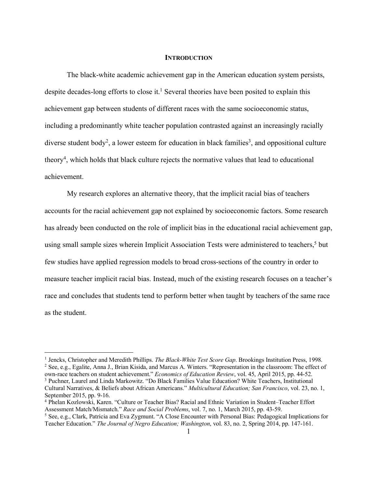#### **INTRODUCTION**

The black-white academic achievement gap in the American education system persists, despite decades-long efforts to close it.<sup>1</sup> Several theories have been posited to explain this achievement gap between students of different races with the same socioeconomic status, including a predominantly white teacher population contrasted against an increasingly racially diverse student body<sup>2</sup>, a lower esteem for education in black families<sup>3</sup>, and oppositional culture theory<sup>4</sup>, which holds that black culture rejects the normative values that lead to educational achievement.

 My research explores an alternative theory, that the implicit racial bias of teachers accounts for the racial achievement gap not explained by socioeconomic factors. Some research has already been conducted on the role of implicit bias in the educational racial achievement gap, using small sample sizes wherein Implicit Association Tests were administered to teachers,<sup>5</sup> but few studies have applied regression models to broad cross-sections of the country in order to measure teacher implicit racial bias. Instead, much of the existing research focuses on a teacher's race and concludes that students tend to perform better when taught by teachers of the same race as the student.

<sup>3</sup> Puchner, Laurel and Linda Markowitz. "Do Black Families Value Education? White Teachers, Institutional

<sup>&</sup>lt;sup>1</sup> Jencks, Christopher and Meredith Phillips. *The Black-White Test Score Gap*. Brookings Institution Press, 1998. <sup>2</sup> See, e.g., Egalite, Anna J., Brian Kisida, and Marcus A. Winters. "Representation in the classroom: The effect of own-race teachers on student achievement." *Economics of Education Review*, vol. 45, April 2015, pp. 44-52.

Cultural Narratives, & Beliefs about African Americans." *Multicultural Education; San Francisco*, vol. 23, no. 1, September 2015, pp. 9-16.

<sup>4</sup> Phelan Kozlowski, Karen. "Culture or Teacher Bias? Racial and Ethnic Variation in Student–Teacher Effort Assessment Match/Mismatch." *Race and Social Problems*, vol. 7, no. 1, March 2015, pp. 43-59.

<sup>5</sup> See, e.g., Clark, Patricia and Eva Zygmunt. "A Close Encounter with Personal Bias: Pedagogical Implications for Teacher Education." *The Journal of Negro Education; Washington*, vol. 83, no. 2, Spring 2014, pp. 147-161.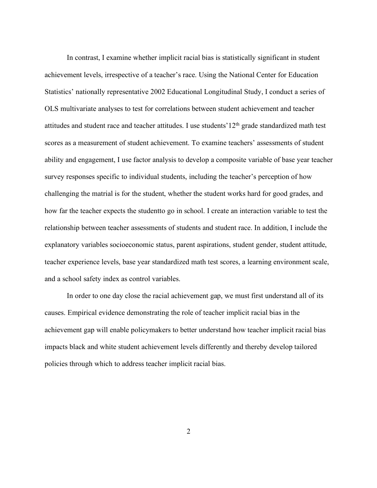In contrast, I examine whether implicit racial bias is statistically significant in student achievement levels, irrespective of a teacher's race. Using the National Center for Education Statistics' nationally representative 2002 Educational Longitudinal Study, I conduct a series of OLS multivariate analyses to test for correlations between student achievement and teacher attitudes and student race and teacher attitudes. I use students' 12<sup>th</sup> grade standardized math test scores as a measurement of student achievement. To examine teachers' assessments of student ability and engagement, I use factor analysis to develop a composite variable of base year teacher survey responses specific to individual students, including the teacher's perception of how challenging the matrial is for the student, whether the student works hard for good grades, and how far the teacher expects the studentto go in school. I create an interaction variable to test the relationship between teacher assessments of students and student race. In addition, I include the explanatory variables socioeconomic status, parent aspirations, student gender, student attitude, teacher experience levels, base year standardized math test scores, a learning environment scale, and a school safety index as control variables.

In order to one day close the racial achievement gap, we must first understand all of its causes. Empirical evidence demonstrating the role of teacher implicit racial bias in the achievement gap will enable policymakers to better understand how teacher implicit racial bias impacts black and white student achievement levels differently and thereby develop tailored policies through which to address teacher implicit racial bias.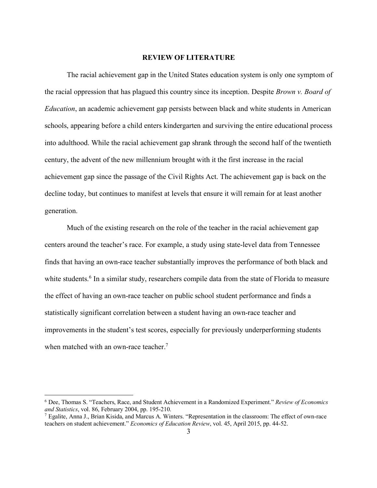### **REVIEW OF LITERATURE**

The racial achievement gap in the United States education system is only one symptom of the racial oppression that has plagued this country since its inception. Despite *Brown v. Board of Education*, an academic achievement gap persists between black and white students in American schools, appearing before a child enters kindergarten and surviving the entire educational process into adulthood. While the racial achievement gap shrank through the second half of the twentieth century, the advent of the new millennium brought with it the first increase in the racial achievement gap since the passage of the Civil Rights Act. The achievement gap is back on the decline today, but continues to manifest at levels that ensure it will remain for at least another generation.

Much of the existing research on the role of the teacher in the racial achievement gap centers around the teacher's race. For example, a study using state-level data from Tennessee finds that having an own-race teacher substantially improves the performance of both black and white students.<sup>6</sup> In a similar study, researchers compile data from the state of Florida to measure the effect of having an own-race teacher on public school student performance and finds a statistically significant correlation between a student having an own-race teacher and improvements in the student's test scores, especially for previously underperforming students when matched with an own-race teacher.<sup>7</sup>

 <sup>6</sup> Dee, Thomas S. "Teachers, Race, and Student Achievement in a Randomized Experiment." *Review of Economics and Statistics*, vol. 86, February 2004, pp. 195-210.

<sup>7</sup> Egalite, Anna J., Brian Kisida, and Marcus A. Winters. "Representation in the classroom: The effect of own-race teachers on student achievement." *Economics of Education Review*, vol. 45, April 2015, pp. 44-52.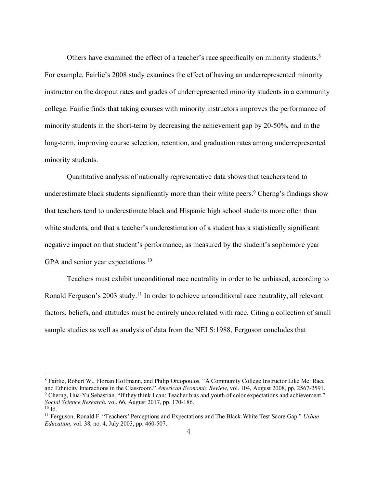Others have examined the effect of a teacher's race specifically on minority students.<sup>8</sup> For example, Fairlie's 2008 study examines the effect of having an underrepresented minority instructor on the dropout rates and grades of underrepresented minority students in a community college. Fairlie finds that taking courses with minority instructors improves the performance of minority students in the short-term by decreasing the achievement gap by 20-50%, and in the long-term, improving course selection, retention, and graduation rates among underrepresented minority students.

Quantitative analysis of nationally representative data shows that teachers tend to underestimate black students significantly more than their white peers.<sup>9</sup> Cherng's findings show that teachers tend to underestimate black and Hispanic high school students more often than white students, and that a teacher's underestimation of a student has a statistically significant negative impact on that student's performance, as measured by the student's sophomore year GPA and senior year expectations.<sup>10</sup>

Teachers must exhibit unconditional race neutrality in order to be unbiased, according to Ronald Ferguson's 2003 study.<sup>11</sup> In order to achieve unconditional race neutrality, all relevant factors, beliefs, and attitudes must be entirely uncorrelated with race. Citing a collection of small sample studies as well as analysis of data from the NELS:1988, Ferguson concludes that

 <sup>8</sup> Fairlie, Robert W., Florian Hoffmann, and Philip Oreopoulos. "A Community College Instructor Like Me: Race and Ethnicity Interactions in the Classroom." *American Economic Review*, vol. 104, August 2008, pp. 2567-2591. <sup>9</sup> Cherng, Hua-Yu Sebastian. "If they think I can: Teacher bias and youth of color expectations and achievement." *Social Science Research*, vol. 66, August 2017, pp. 170-186.  $10 \text{ Id}$ 

<sup>11</sup> Ferguson, Ronald F. "Teachers' Perceptions and Expectations and The Black-White Test Score Gap." *Urban Education*, vol. 38, no. 4, July 2003, pp. 460-507.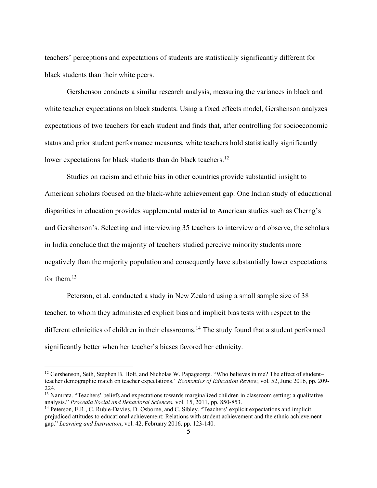teachers' perceptions and expectations of students are statistically significantly different for black students than their white peers.

Gershenson conducts a similar research analysis, measuring the variances in black and white teacher expectations on black students. Using a fixed effects model, Gershenson analyzes expectations of two teachers for each student and finds that, after controlling for socioeconomic status and prior student performance measures, white teachers hold statistically significantly lower expectations for black students than do black teachers.<sup>12</sup>

Studies on racism and ethnic bias in other countries provide substantial insight to American scholars focused on the black-white achievement gap. One Indian study of educational disparities in education provides supplemental material to American studies such as Cherng's and Gershenson's. Selecting and interviewing 35 teachers to interview and observe, the scholars in India conclude that the majority of teachers studied perceive minority students more negatively than the majority population and consequently have substantially lower expectations for them.<sup>13</sup>

Peterson, et al. conducted a study in New Zealand using a small sample size of 38 teacher, to whom they administered explicit bias and implicit bias tests with respect to the different ethnicities of children in their classrooms.<sup>14</sup> The study found that a student performed significantly better when her teacher's biases favored her ethnicity.

<sup>&</sup>lt;sup>12</sup> Gershenson, Seth, Stephen B. Holt, and Nicholas W. Papageorge. "Who believes in me? The effect of studentteacher demographic match on teacher expectations." *Economics of Education Review*, vol. 52, June 2016, pp. 209- 224.

<sup>&</sup>lt;sup>13</sup> Namrata. "Teachers' beliefs and expectations towards marginalized children in classroom setting: a qualitative analysis." *Procedia Social and Behavioral Sciences*, vol. 15, 2011, pp. 850-853.

<sup>&</sup>lt;sup>14</sup> Peterson, E.R., C. Rubie-Davies, D. Osborne, and C. Sibley. "Teachers' explicit expectations and implicit prejudiced attitudes to educational achievement: Relations with student achievement and the ethnic achievement gap." *Learning and Instruction*, vol. 42, February 2016, pp. 123-140.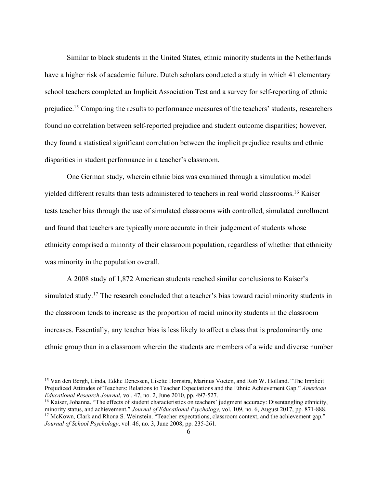Similar to black students in the United States, ethnic minority students in the Netherlands have a higher risk of academic failure. Dutch scholars conducted a study in which 41 elementary school teachers completed an Implicit Association Test and a survey for self-reporting of ethnic prejudice.<sup>15</sup> Comparing the results to performance measures of the teachers' students, researchers found no correlation between self-reported prejudice and student outcome disparities; however, they found a statistical significant correlation between the implicit prejudice results and ethnic disparities in student performance in a teacher's classroom.

One German study, wherein ethnic bias was examined through a simulation model yielded different results than tests administered to teachers in real world classrooms. <sup>16</sup> Kaiser tests teacher bias through the use of simulated classrooms with controlled, simulated enrollment and found that teachers are typically more accurate in their judgement of students whose ethnicity comprised a minority of their classroom population, regardless of whether that ethnicity was minority in the population overall.

A 2008 study of 1,872 American students reached similar conclusions to Kaiser's simulated study.<sup>17</sup> The research concluded that a teacher's bias toward racial minority students in the classroom tends to increase as the proportion of racial minority students in the classroom increases. Essentially, any teacher bias is less likely to affect a class that is predominantly one ethnic group than in a classroom wherein the students are members of a wide and diverse number

 <sup>15</sup> Van den Bergh, Linda, Eddie Denessen, Lisette Hornstra, Marinus Voeten, and Rob W. Holland. "The Implicit Prejudiced Attitudes of Teachers: Relations to Teacher Expectations and the Ethnic Achievement Gap." *American Educational Research Journal*, vol. 47, no. 2, June 2010, pp. 497-527.

<sup>&</sup>lt;sup>16</sup> Kaiser, Johanna. "The effects of student characteristics on teachers' judgment accuracy: Disentangling ethnicity, minority status, and achievement." *Journal of Educational Psychology,* vol. 109, no. 6, August 2017, pp. 871-888. <sup>17</sup> McKown, Clark and Rhona S. Weinstein. "Teacher expectations, classroom context, and the achievement gap." *Journal of School Psychology*, vol. 46, no. 3, June 2008, pp. 235-261.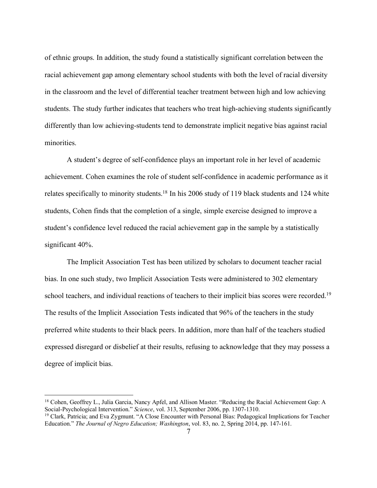of ethnic groups. In addition, the study found a statistically significant correlation between the racial achievement gap among elementary school students with both the level of racial diversity in the classroom and the level of differential teacher treatment between high and low achieving students. The study further indicates that teachers who treat high-achieving students significantly differently than low achieving-students tend to demonstrate implicit negative bias against racial minorities.

A student's degree of self-confidence plays an important role in her level of academic achievement. Cohen examines the role of student self-confidence in academic performance as it relates specifically to minority students.<sup>18</sup> In his 2006 study of 119 black students and 124 white students, Cohen finds that the completion of a single, simple exercise designed to improve a student's confidence level reduced the racial achievement gap in the sample by a statistically significant 40%.

The Implicit Association Test has been utilized by scholars to document teacher racial bias. In one such study, two Implicit Association Tests were administered to 302 elementary school teachers, and individual reactions of teachers to their implicit bias scores were recorded.<sup>19</sup> The results of the Implicit Association Tests indicated that 96% of the teachers in the study preferred white students to their black peers. In addition, more than half of the teachers studied expressed disregard or disbelief at their results, refusing to acknowledge that they may possess a degree of implicit bias.

<sup>&</sup>lt;sup>18</sup> Cohen, Geoffrey L., Julia Garcia, Nancy Apfel, and Allison Master. "Reducing the Racial Achievement Gap: A Social-Psychological Intervention." *Science*, vol. 313, September 2006, pp. 1307-1310.

<sup>&</sup>lt;sup>19</sup> Clark, Patricia; and Eva Zygmunt. "A Close Encounter with Personal Bias: Pedagogical Implications for Teacher Education." *The Journal of Negro Education; Washington*, vol. 83, no. 2, Spring 2014, pp. 147-161.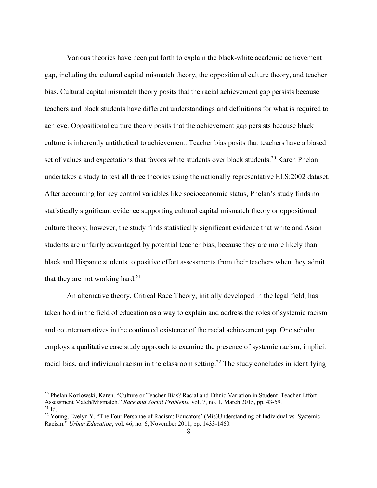Various theories have been put forth to explain the black-white academic achievement gap, including the cultural capital mismatch theory, the oppositional culture theory, and teacher bias. Cultural capital mismatch theory posits that the racial achievement gap persists because teachers and black students have different understandings and definitions for what is required to achieve. Oppositional culture theory posits that the achievement gap persists because black culture is inherently antithetical to achievement. Teacher bias posits that teachers have a biased set of values and expectations that favors white students over black students.<sup>20</sup> Karen Phelan undertakes a study to test all three theories using the nationally representative ELS:2002 dataset. After accounting for key control variables like socioeconomic status, Phelan's study finds no statistically significant evidence supporting cultural capital mismatch theory or oppositional culture theory; however, the study finds statistically significant evidence that white and Asian students are unfairly advantaged by potential teacher bias, because they are more likely than black and Hispanic students to positive effort assessments from their teachers when they admit that they are not working hard. $21$ 

An alternative theory, Critical Race Theory, initially developed in the legal field, has taken hold in the field of education as a way to explain and address the roles of systemic racism and counternarratives in the continued existence of the racial achievement gap. One scholar employs a qualitative case study approach to examine the presence of systemic racism, implicit racial bias, and individual racism in the classroom setting.<sup>22</sup> The study concludes in identifying

 <sup>20</sup> Phelan Kozlowski, Karen. "Culture or Teacher Bias? Racial and Ethnic Variation in Student–Teacher Effort Assessment Match/Mismatch." *Race and Social Problems*, vol. 7, no. 1, March 2015, pp. 43-59.  $21$  Id.

<sup>&</sup>lt;sup>22</sup> Young, Evelyn Y. "The Four Personae of Racism: Educators' (Mis)Understanding of Individual vs. Systemic Racism." *Urban Education*, vol. 46, no. 6, November 2011, pp. 1433-1460.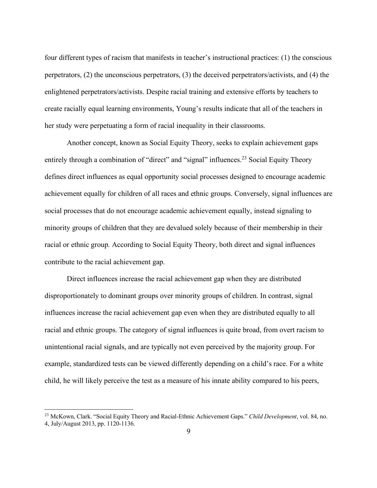four different types of racism that manifests in teacher's instructional practices: (1) the conscious perpetrators, (2) the unconscious perpetrators, (3) the deceived perpetrators/activists, and (4) the enlightened perpetrators/activists. Despite racial training and extensive efforts by teachers to create racially equal learning environments, Young's results indicate that all of the teachers in her study were perpetuating a form of racial inequality in their classrooms.

Another concept, known as Social Equity Theory, seeks to explain achievement gaps entirely through a combination of "direct" and "signal" influences.<sup>23</sup> Social Equity Theory defines direct influences as equal opportunity social processes designed to encourage academic achievement equally for children of all races and ethnic groups. Conversely, signal influences are social processes that do not encourage academic achievement equally, instead signaling to minority groups of children that they are devalued solely because of their membership in their racial or ethnic group. According to Social Equity Theory, both direct and signal influences contribute to the racial achievement gap.

Direct influences increase the racial achievement gap when they are distributed disproportionately to dominant groups over minority groups of children. In contrast, signal influences increase the racial achievement gap even when they are distributed equally to all racial and ethnic groups. The category of signal influences is quite broad, from overt racism to unintentional racial signals, and are typically not even perceived by the majority group. For example, standardized tests can be viewed differently depending on a child's race. For a white child, he will likely perceive the test as a measure of his innate ability compared to his peers,

 <sup>23</sup> McKown, Clark. "Social Equity Theory and Racial-Ethnic Achievement Gaps." *Child Development*, vol. 84, no.

<sup>4,</sup> July/August 2013, pp. 1120-1136.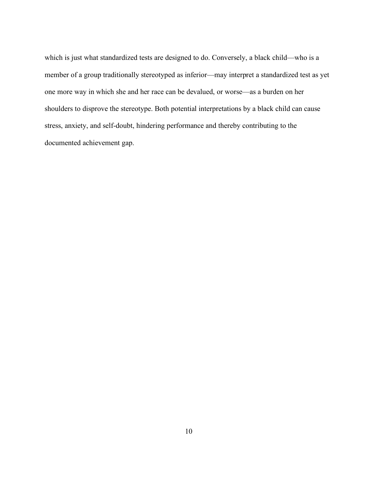which is just what standardized tests are designed to do. Conversely, a black child—who is a member of a group traditionally stereotyped as inferior—may interpret a standardized test as yet one more way in which she and her race can be devalued, or worse—as a burden on her shoulders to disprove the stereotype. Both potential interpretations by a black child can cause stress, anxiety, and self-doubt, hindering performance and thereby contributing to the documented achievement gap.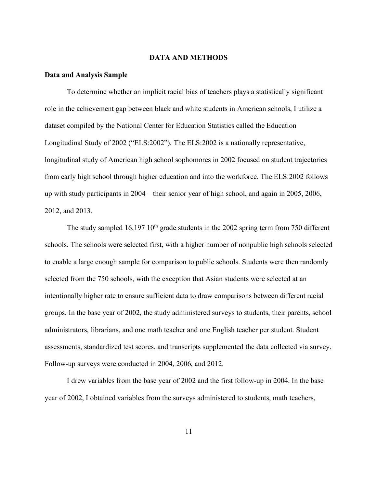#### **DATA AND METHODS**

#### **Data and Analysis Sample**

To determine whether an implicit racial bias of teachers plays a statistically significant role in the achievement gap between black and white students in American schools, I utilize a dataset compiled by the National Center for Education Statistics called the Education Longitudinal Study of 2002 ("ELS:2002"). The ELS:2002 is a nationally representative, longitudinal study of American high school sophomores in 2002 focused on student trajectories from early high school through higher education and into the workforce. The ELS:2002 follows up with study participants in 2004 – their senior year of high school, and again in 2005, 2006, 2012, and 2013.

The study sampled  $16,197$   $10<sup>th</sup>$  grade students in the 2002 spring term from 750 different schools. The schools were selected first, with a higher number of nonpublic high schools selected to enable a large enough sample for comparison to public schools. Students were then randomly selected from the 750 schools, with the exception that Asian students were selected at an intentionally higher rate to ensure sufficient data to draw comparisons between different racial groups. In the base year of 2002, the study administered surveys to students, their parents, school administrators, librarians, and one math teacher and one English teacher per student. Student assessments, standardized test scores, and transcripts supplemented the data collected via survey. Follow-up surveys were conducted in 2004, 2006, and 2012.

I drew variables from the base year of 2002 and the first follow-up in 2004. In the base year of 2002, I obtained variables from the surveys administered to students, math teachers,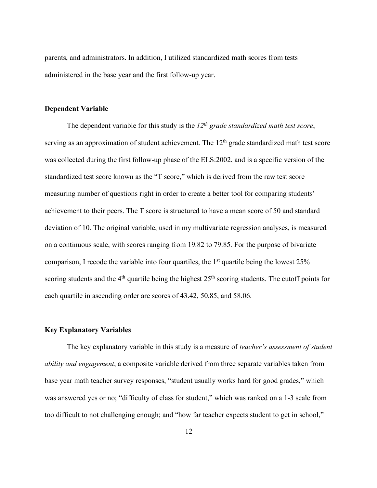parents, and administrators. In addition, I utilized standardized math scores from tests administered in the base year and the first follow-up year.

## **Dependent Variable**

The dependent variable for this study is the *12th grade standardized math test score*, serving as an approximation of student achievement. The 12<sup>th</sup> grade standardized math test score was collected during the first follow-up phase of the ELS:2002, and is a specific version of the standardized test score known as the "T score," which is derived from the raw test score measuring number of questions right in order to create a better tool for comparing students' achievement to their peers. The T score is structured to have a mean score of 50 and standard deviation of 10. The original variable, used in my multivariate regression analyses, is measured on a continuous scale, with scores ranging from 19.82 to 79.85. For the purpose of bivariate comparison, I recode the variable into four quartiles, the  $1<sup>st</sup>$  quartile being the lowest  $25%$ scoring students and the  $4<sup>th</sup>$  quartile being the highest  $25<sup>th</sup>$  scoring students. The cutoff points for each quartile in ascending order are scores of 43.42, 50.85, and 58.06.

### **Key Explanatory Variables**

The key explanatory variable in this study is a measure of *teacher's assessment of student ability and engagement*, a composite variable derived from three separate variables taken from base year math teacher survey responses, "student usually works hard for good grades," which was answered yes or no; "difficulty of class for student," which was ranked on a 1-3 scale from too difficult to not challenging enough; and "how far teacher expects student to get in school,"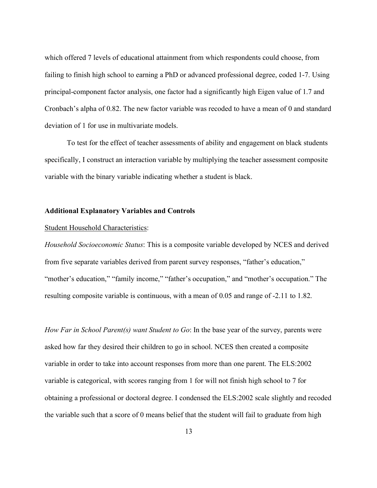which offered 7 levels of educational attainment from which respondents could choose, from failing to finish high school to earning a PhD or advanced professional degree, coded 1-7. Using principal-component factor analysis, one factor had a significantly high Eigen value of 1.7 and Cronbach's alpha of 0.82. The new factor variable was recoded to have a mean of 0 and standard deviation of 1 for use in multivariate models.

To test for the effect of teacher assessments of ability and engagement on black students specifically, I construct an interaction variable by multiplying the teacher assessment composite variable with the binary variable indicating whether a student is black.

#### **Additional Explanatory Variables and Controls**

#### Student Household Characteristics:

*Household Socioeconomic Status*: This is a composite variable developed by NCES and derived from five separate variables derived from parent survey responses, "father's education," "mother's education," "family income," "father's occupation," and "mother's occupation." The resulting composite variable is continuous, with a mean of 0.05 and range of -2.11 to 1.82.

*How Far in School Parent(s) want Student to Go*: In the base year of the survey, parents were asked how far they desired their children to go in school. NCES then created a composite variable in order to take into account responses from more than one parent. The ELS:2002 variable is categorical, with scores ranging from 1 for will not finish high school to 7 for obtaining a professional or doctoral degree. I condensed the ELS:2002 scale slightly and recoded the variable such that a score of 0 means belief that the student will fail to graduate from high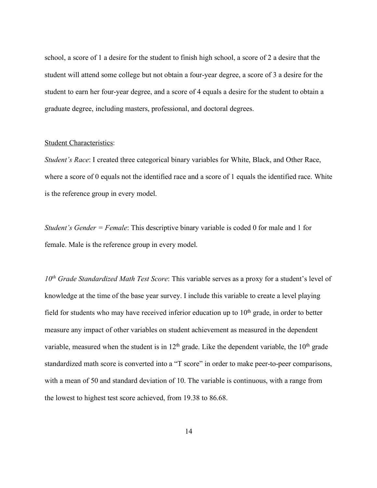school, a score of 1 a desire for the student to finish high school, a score of 2 a desire that the student will attend some college but not obtain a four-year degree, a score of 3 a desire for the student to earn her four-year degree, and a score of 4 equals a desire for the student to obtain a graduate degree, including masters, professional, and doctoral degrees.

#### Student Characteristics:

*Student's Race*: I created three categorical binary variables for White, Black, and Other Race, where a score of 0 equals not the identified race and a score of 1 equals the identified race. White is the reference group in every model.

*Student's Gender* = *Female*: This descriptive binary variable is coded 0 for male and 1 for female. Male is the reference group in every model.

10<sup>th</sup> Grade Standardized Math Test Score: This variable serves as a proxy for a student's level of knowledge at the time of the base year survey. I include this variable to create a level playing field for students who may have received inferior education up to  $10<sup>th</sup>$  grade, in order to better measure any impact of other variables on student achievement as measured in the dependent variable, measured when the student is in  $12<sup>th</sup>$  grade. Like the dependent variable, the  $10<sup>th</sup>$  grade standardized math score is converted into a "T score" in order to make peer-to-peer comparisons, with a mean of 50 and standard deviation of 10. The variable is continuous, with a range from the lowest to highest test score achieved, from 19.38 to 86.68.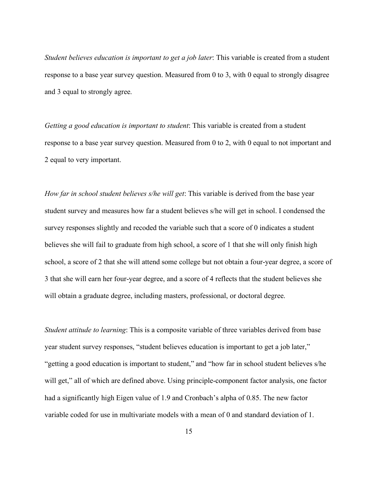*Student believes education is important to get a job later*: This variable is created from a student response to a base year survey question. Measured from 0 to 3, with 0 equal to strongly disagree and 3 equal to strongly agree.

*Getting a good education is important to student*: This variable is created from a student response to a base year survey question. Measured from 0 to 2, with 0 equal to not important and 2 equal to very important.

*How far in school student believes s/he will get*: This variable is derived from the base year student survey and measures how far a student believes s/he will get in school. I condensed the survey responses slightly and recoded the variable such that a score of 0 indicates a student believes she will fail to graduate from high school, a score of 1 that she will only finish high school, a score of 2 that she will attend some college but not obtain a four-year degree, a score of 3 that she will earn her four-year degree, and a score of 4 reflects that the student believes she will obtain a graduate degree, including masters, professional, or doctoral degree.

*Student attitude to learning*: This is a composite variable of three variables derived from base year student survey responses, "student believes education is important to get a job later," "getting a good education is important to student," and "how far in school student believes s/he will get," all of which are defined above. Using principle-component factor analysis, one factor had a significantly high Eigen value of 1.9 and Cronbach's alpha of 0.85. The new factor variable coded for use in multivariate models with a mean of 0 and standard deviation of 1.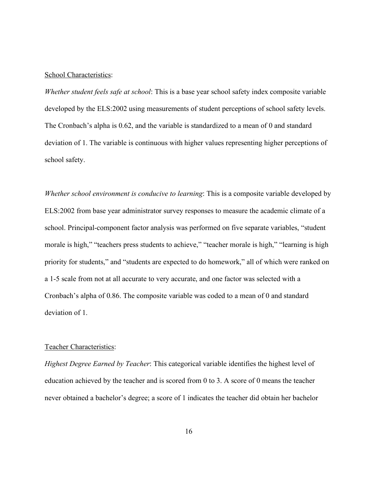#### School Characteristics:

*Whether student feels safe at school*: This is a base year school safety index composite variable developed by the ELS:2002 using measurements of student perceptions of school safety levels. The Cronbach's alpha is 0.62, and the variable is standardized to a mean of 0 and standard deviation of 1. The variable is continuous with higher values representing higher perceptions of school safety.

*Whether school environment is conducive to learning*: This is a composite variable developed by ELS:2002 from base year administrator survey responses to measure the academic climate of a school. Principal-component factor analysis was performed on five separate variables, "student morale is high," "teachers press students to achieve," "teacher morale is high," "learning is high priority for students," and "students are expected to do homework," all of which were ranked on a 1-5 scale from not at all accurate to very accurate, and one factor was selected with a Cronbach's alpha of 0.86. The composite variable was coded to a mean of 0 and standard deviation of 1.

#### Teacher Characteristics:

*Highest Degree Earned by Teacher*: This categorical variable identifies the highest level of education achieved by the teacher and is scored from 0 to 3. A score of 0 means the teacher never obtained a bachelor's degree; a score of 1 indicates the teacher did obtain her bachelor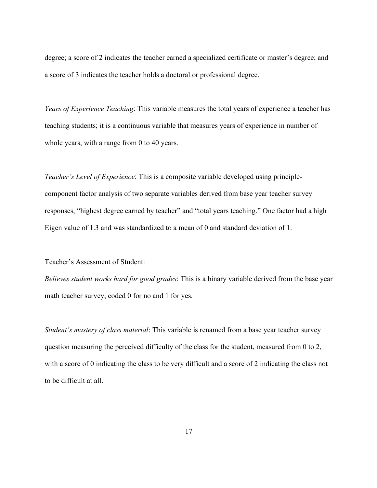degree; a score of 2 indicates the teacher earned a specialized certificate or master's degree; and a score of 3 indicates the teacher holds a doctoral or professional degree.

*Years of Experience Teaching*: This variable measures the total years of experience a teacher has teaching students; it is a continuous variable that measures years of experience in number of whole years, with a range from 0 to 40 years.

*Teacher's Level of Experience*: This is a composite variable developed using principlecomponent factor analysis of two separate variables derived from base year teacher survey responses, "highest degree earned by teacher" and "total years teaching." One factor had a high Eigen value of 1.3 and was standardized to a mean of 0 and standard deviation of 1.

#### Teacher's Assessment of Student:

*Believes student works hard for good grades*: This is a binary variable derived from the base year math teacher survey, coded 0 for no and 1 for yes.

*Student's mastery of class material*: This variable is renamed from a base year teacher survey question measuring the perceived difficulty of the class for the student, measured from 0 to 2, with a score of 0 indicating the class to be very difficult and a score of 2 indicating the class not to be difficult at all.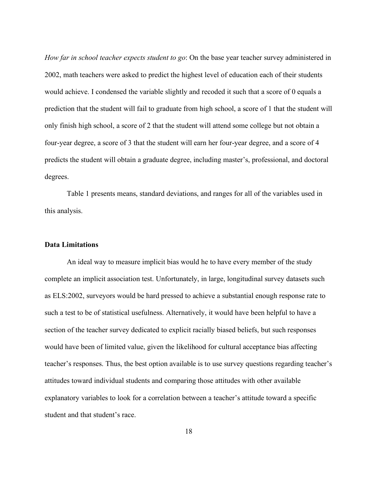*How far in school teacher expects student to go*: On the base year teacher survey administered in 2002, math teachers were asked to predict the highest level of education each of their students would achieve. I condensed the variable slightly and recoded it such that a score of 0 equals a prediction that the student will fail to graduate from high school, a score of 1 that the student will only finish high school, a score of 2 that the student will attend some college but not obtain a four-year degree, a score of 3 that the student will earn her four-year degree, and a score of 4 predicts the student will obtain a graduate degree, including master's, professional, and doctoral degrees.

Table 1 presents means, standard deviations, and ranges for all of the variables used in this analysis.

## **Data Limitations**

An ideal way to measure implicit bias would he to have every member of the study complete an implicit association test. Unfortunately, in large, longitudinal survey datasets such as ELS:2002, surveyors would be hard pressed to achieve a substantial enough response rate to such a test to be of statistical usefulness. Alternatively, it would have been helpful to have a section of the teacher survey dedicated to explicit racially biased beliefs, but such responses would have been of limited value, given the likelihood for cultural acceptance bias affecting teacher's responses. Thus, the best option available is to use survey questions regarding teacher's attitudes toward individual students and comparing those attitudes with other available explanatory variables to look for a correlation between a teacher's attitude toward a specific student and that student's race.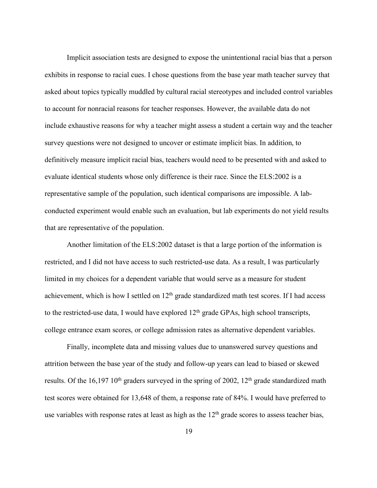Implicit association tests are designed to expose the unintentional racial bias that a person exhibits in response to racial cues. I chose questions from the base year math teacher survey that asked about topics typically muddled by cultural racial stereotypes and included control variables to account for nonracial reasons for teacher responses. However, the available data do not include exhaustive reasons for why a teacher might assess a student a certain way and the teacher survey questions were not designed to uncover or estimate implicit bias. In addition, to definitively measure implicit racial bias, teachers would need to be presented with and asked to evaluate identical students whose only difference is their race. Since the ELS:2002 is a representative sample of the population, such identical comparisons are impossible. A labconducted experiment would enable such an evaluation, but lab experiments do not yield results that are representative of the population.

Another limitation of the ELS:2002 dataset is that a large portion of the information is restricted, and I did not have access to such restricted-use data. As a result, I was particularly limited in my choices for a dependent variable that would serve as a measure for student achievement, which is how I settled on  $12<sup>th</sup>$  grade standardized math test scores. If I had access to the restricted-use data, I would have explored  $12<sup>th</sup>$  grade GPAs, high school transcripts, college entrance exam scores, or college admission rates as alternative dependent variables.

Finally, incomplete data and missing values due to unanswered survey questions and attrition between the base year of the study and follow-up years can lead to biased or skewed results. Of the 16,197 10<sup>th</sup> graders surveyed in the spring of 2002,  $12<sup>th</sup>$  grade standardized math test scores were obtained for 13,648 of them, a response rate of 84%. I would have preferred to use variables with response rates at least as high as the  $12<sup>th</sup>$  grade scores to assess teacher bias,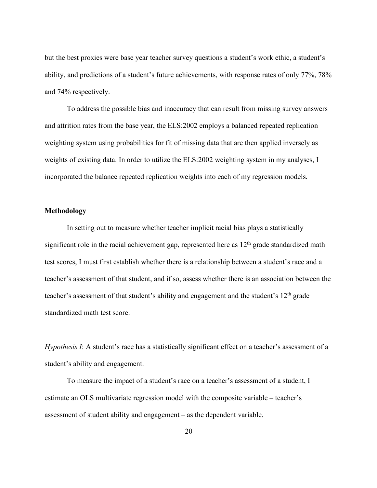but the best proxies were base year teacher survey questions a student's work ethic, a student's ability, and predictions of a student's future achievements, with response rates of only 77%, 78% and 74% respectively.

To address the possible bias and inaccuracy that can result from missing survey answers and attrition rates from the base year, the ELS:2002 employs a balanced repeated replication weighting system using probabilities for fit of missing data that are then applied inversely as weights of existing data. In order to utilize the ELS:2002 weighting system in my analyses, I incorporated the balance repeated replication weights into each of my regression models.

## **Methodology**

In setting out to measure whether teacher implicit racial bias plays a statistically significant role in the racial achievement gap, represented here as  $12<sup>th</sup>$  grade standardized math test scores, I must first establish whether there is a relationship between a student's race and a teacher's assessment of that student, and if so, assess whether there is an association between the teacher's assessment of that student's ability and engagement and the student's  $12<sup>th</sup>$  grade standardized math test score.

*Hypothesis I*: A student's race has a statistically significant effect on a teacher's assessment of a student's ability and engagement.

To measure the impact of a student's race on a teacher's assessment of a student, I estimate an OLS multivariate regression model with the composite variable – teacher's assessment of student ability and engagement – as the dependent variable.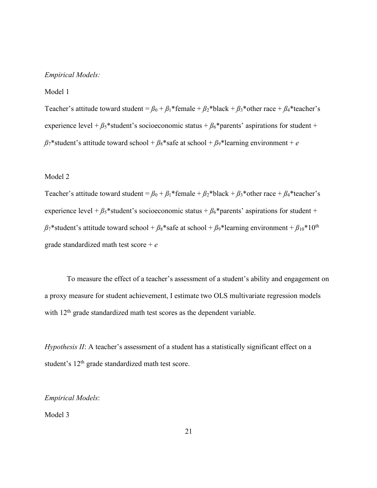#### *Empirical Models:*

## Model 1

Teacher's attitude toward student =  $\beta_0 + \beta_1*$  female +  $\beta_2*$  black +  $\beta_3*$  other race +  $\beta_4*$  teacher's experience level +  $\beta_5$ \*student's socioeconomic status +  $\beta_6$ \*parents' aspirations for student +  $\beta_7$ \*student's attitude toward school +  $\beta_8$ \*safe at school +  $\beta_9$ \*learning environment + *e* 

## Model 2

Teacher's attitude toward student =  $\beta_0 + \beta_1$ \*female +  $\beta_2$ \*black +  $\beta_3$ \*other race +  $\beta_4$ \*teacher's experience level +  $\beta_5$ \*student's socioeconomic status +  $\beta_6$ \*parents' aspirations for student +  $\beta_7$ \*student's attitude toward school +  $\beta_8$ \*safe at school +  $\beta_9$ \*learning environment +  $\beta_{10}$ \*10<sup>th</sup> grade standardized math test score + *e*

To measure the effect of a teacher's assessment of a student's ability and engagement on a proxy measure for student achievement, I estimate two OLS multivariate regression models with 12<sup>th</sup> grade standardized math test scores as the dependent variable.

*Hypothesis II*: A teacher's assessment of a student has a statistically significant effect on a student's 12<sup>th</sup> grade standardized math test score.

*Empirical Models*:

Model 3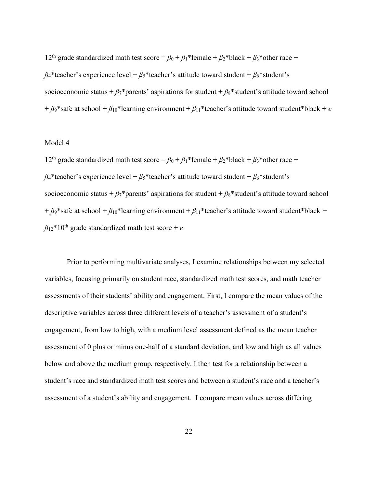12<sup>th</sup> grade standardized math test score =  $\beta_0 + \beta_1$ \*female +  $\beta_2$ \*black +  $\beta_3$ \*other race +  $\beta_4^*$ teacher's experience level +  $\beta_5^*$ teacher's attitude toward student +  $\beta_6^*$ student's socioeconomic status +  $\beta_7$ \*parents' aspirations for student +  $\beta_8$ \*student's attitude toward school +  $\beta$ <sup>9</sup>\*safe at school +  $\beta_{10}$ <sup>\*</sup>learning environment +  $\beta_{11}$ <sup>\*</sup>teacher's attitude toward student\*black + *e* 

## Model 4

12<sup>th</sup> grade standardized math test score =  $\beta_0 + \beta_1*$  female +  $\beta_2*$  black +  $\beta_3*$  other race +  $\beta_4^*$ teacher's experience level +  $\beta_5^*$ teacher's attitude toward student +  $\beta_6^*$ student's socioeconomic status +  $\beta_7$ \*parents' aspirations for student +  $\beta_8$ \*student's attitude toward school + *ß*9\*safe at school + *ß*10\*learning environment + *ß*11\*teacher's attitude toward student\*black *+*   $\beta_{12}$ \*10<sup>th</sup> grade standardized math test score + *e* 

Prior to performing multivariate analyses, I examine relationships between my selected variables, focusing primarily on student race, standardized math test scores, and math teacher assessments of their students' ability and engagement. First, I compare the mean values of the descriptive variables across three different levels of a teacher's assessment of a student's engagement, from low to high, with a medium level assessment defined as the mean teacher assessment of 0 plus or minus one-half of a standard deviation, and low and high as all values below and above the medium group, respectively. I then test for a relationship between a student's race and standardized math test scores and between a student's race and a teacher's assessment of a student's ability and engagement. I compare mean values across differing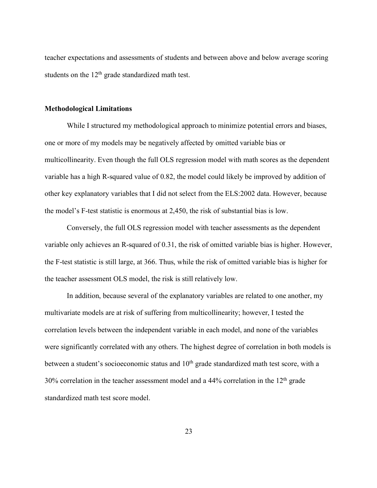teacher expectations and assessments of students and between above and below average scoring students on the 12<sup>th</sup> grade standardized math test.

## **Methodological Limitations**

While I structured my methodological approach to minimize potential errors and biases, one or more of my models may be negatively affected by omitted variable bias or multicollinearity. Even though the full OLS regression model with math scores as the dependent variable has a high R-squared value of 0.82, the model could likely be improved by addition of other key explanatory variables that I did not select from the ELS:2002 data. However, because the model's F-test statistic is enormous at 2,450, the risk of substantial bias is low.

Conversely, the full OLS regression model with teacher assessments as the dependent variable only achieves an R-squared of 0.31, the risk of omitted variable bias is higher. However, the F-test statistic is still large, at 366. Thus, while the risk of omitted variable bias is higher for the teacher assessment OLS model, the risk is still relatively low.

In addition, because several of the explanatory variables are related to one another, my multivariate models are at risk of suffering from multicollinearity; however, I tested the correlation levels between the independent variable in each model, and none of the variables were significantly correlated with any others. The highest degree of correlation in both models is between a student's socioeconomic status and 10<sup>th</sup> grade standardized math test score, with a  $30\%$  correlation in the teacher assessment model and a 44% correlation in the  $12<sup>th</sup>$  grade standardized math test score model.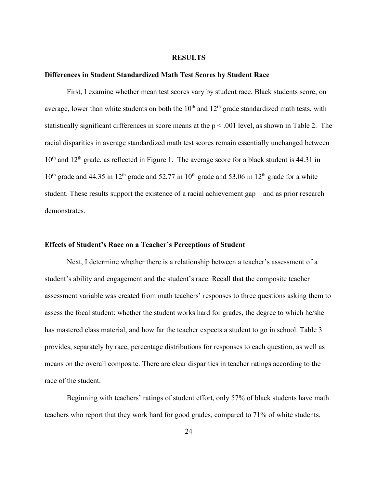#### **RESULTS**

#### **Differences in Student Standardized Math Test Scores by Student Race**

First, I examine whether mean test scores vary by student race. Black students score, on average, lower than white students on both the  $10<sup>th</sup>$  and  $12<sup>th</sup>$  grade standardized math tests, with statistically significant differences in score means at the  $p < .001$  level, as shown in Table 2. The racial disparities in average standardized math test scores remain essentially unchanged between  $10<sup>th</sup>$  and  $12<sup>th</sup>$  grade, as reflected in Figure 1. The average score for a black student is 44.31 in  $10<sup>th</sup>$  grade and 44.35 in 12<sup>th</sup> grade and 52.77 in 10<sup>th</sup> grade and 53.06 in 12<sup>th</sup> grade for a white student. These results support the existence of a racial achievement gap – and as prior research demonstrates.

#### **Effects of Student's Race on a Teacher's Perceptions of Student**

Next, I determine whether there is a relationship between a teacher's assessment of a student's ability and engagement and the student's race. Recall that the composite teacher assessment variable was created from math teachers' responses to three questions asking them to assess the focal student: whether the student works hard for grades, the degree to which he/she has mastered class material, and how far the teacher expects a student to go in school. Table 3 provides, separately by race, percentage distributions for responses to each question, as well as means on the overall composite. There are clear disparities in teacher ratings according to the race of the student.

Beginning with teachers' ratings of student effort, only 57% of black students have math teachers who report that they work hard for good grades, compared to 71% of white students.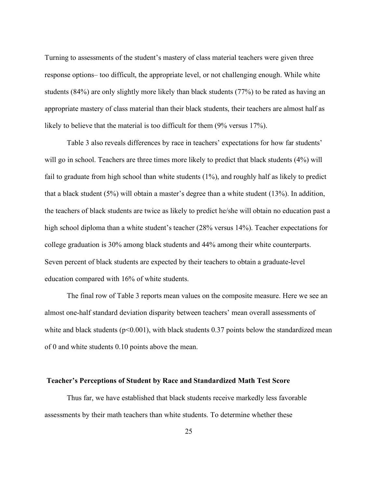Turning to assessments of the student's mastery of class material teachers were given three response options– too difficult, the appropriate level, or not challenging enough. While white students (84%) are only slightly more likely than black students (77%) to be rated as having an appropriate mastery of class material than their black students, their teachers are almost half as likely to believe that the material is too difficult for them (9% versus 17%).

Table 3 also reveals differences by race in teachers' expectations for how far students' will go in school. Teachers are three times more likely to predict that black students (4%) will fail to graduate from high school than white students (1%), and roughly half as likely to predict that a black student (5%) will obtain a master's degree than a white student (13%). In addition, the teachers of black students are twice as likely to predict he/she will obtain no education past a high school diploma than a white student's teacher (28% versus 14%). Teacher expectations for college graduation is 30% among black students and 44% among their white counterparts. Seven percent of black students are expected by their teachers to obtain a graduate-level education compared with 16% of white students.

The final row of Table 3 reports mean values on the composite measure. Here we see an almost one-half standard deviation disparity between teachers' mean overall assessments of white and black students ( $p<0.001$ ), with black students 0.37 points below the standardized mean of 0 and white students 0.10 points above the mean.

#### **Teacher's Perceptions of Student by Race and Standardized Math Test Score**

Thus far, we have established that black students receive markedly less favorable assessments by their math teachers than white students. To determine whether these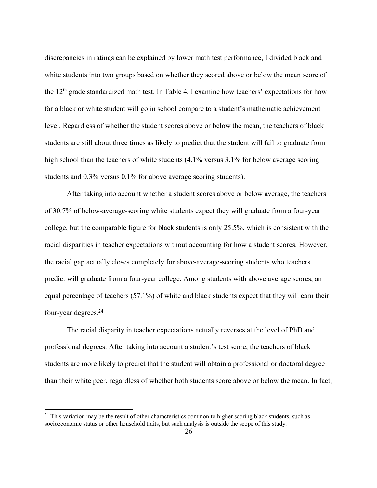discrepancies in ratings can be explained by lower math test performance, I divided black and white students into two groups based on whether they scored above or below the mean score of the 12<sup>th</sup> grade standardized math test. In Table 4, I examine how teachers' expectations for how far a black or white student will go in school compare to a student's mathematic achievement level. Regardless of whether the student scores above or below the mean, the teachers of black students are still about three times as likely to predict that the student will fail to graduate from high school than the teachers of white students (4.1% versus 3.1% for below average scoring students and 0.3% versus 0.1% for above average scoring students).

After taking into account whether a student scores above or below average, the teachers of 30.7% of below-average-scoring white students expect they will graduate from a four-year college, but the comparable figure for black students is only 25.5%, which is consistent with the racial disparities in teacher expectations without accounting for how a student scores. However, the racial gap actually closes completely for above-average-scoring students who teachers predict will graduate from a four-year college. Among students with above average scores, an equal percentage of teachers (57.1%) of white and black students expect that they will earn their four-year degrees.24

The racial disparity in teacher expectations actually reverses at the level of PhD and professional degrees. After taking into account a student's test score, the teachers of black students are more likely to predict that the student will obtain a professional or doctoral degree than their white peer, regardless of whether both students score above or below the mean. In fact,

<sup>&</sup>lt;sup>24</sup> This variation may be the result of other characteristics common to higher scoring black students, such as socioeconomic status or other household traits, but such analysis is outside the scope of this study.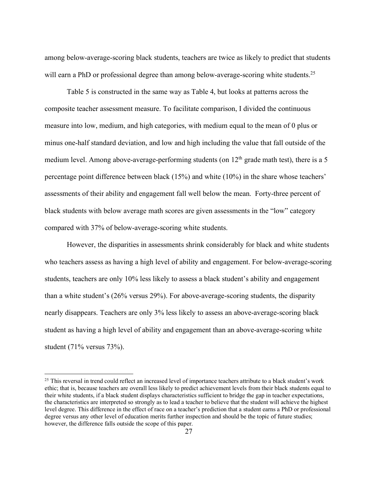among below-average-scoring black students, teachers are twice as likely to predict that students will earn a PhD or professional degree than among below-average-scoring white students.<sup>25</sup>

Table 5 is constructed in the same way as Table 4, but looks at patterns across the composite teacher assessment measure. To facilitate comparison, I divided the continuous measure into low, medium, and high categories, with medium equal to the mean of 0 plus or minus one-half standard deviation, and low and high including the value that fall outside of the medium level. Among above-average-performing students (on  $12<sup>th</sup>$  grade math test), there is a 5 percentage point difference between black (15%) and white (10%) in the share whose teachers' assessments of their ability and engagement fall well below the mean. Forty-three percent of black students with below average math scores are given assessments in the "low" category compared with 37% of below-average-scoring white students.

However, the disparities in assessments shrink considerably for black and white students who teachers assess as having a high level of ability and engagement. For below-average-scoring students, teachers are only 10% less likely to assess a black student's ability and engagement than a white student's (26% versus 29%). For above-average-scoring students, the disparity nearly disappears. Teachers are only 3% less likely to assess an above-average-scoring black student as having a high level of ability and engagement than an above-average-scoring white student (71% versus 73%).

 $^{25}$  This reversal in trend could reflect an increased level of importance teachers attribute to a black student's work ethic; that is, because teachers are overall less likely to predict achievement levels from their black students equal to their white students, if a black student displays characteristics sufficient to bridge the gap in teacher expectations, the characteristics are interpreted so strongly as to lead a teacher to believe that the student will achieve the highest level degree. This difference in the effect of race on a teacher's prediction that a student earns a PhD or professional degree versus any other level of education merits further inspection and should be the topic of future studies; however, the difference falls outside the scope of this paper.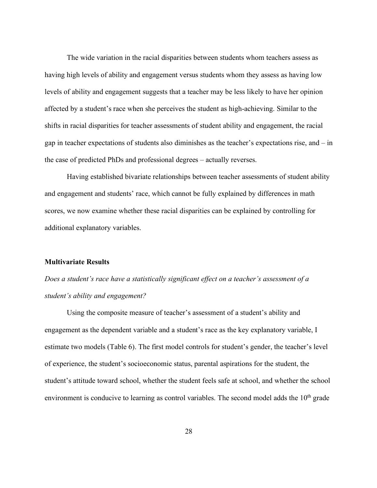The wide variation in the racial disparities between students whom teachers assess as having high levels of ability and engagement versus students whom they assess as having low levels of ability and engagement suggests that a teacher may be less likely to have her opinion affected by a student's race when she perceives the student as high-achieving. Similar to the shifts in racial disparities for teacher assessments of student ability and engagement, the racial gap in teacher expectations of students also diminishes as the teacher's expectations rise, and – in the case of predicted PhDs and professional degrees – actually reverses.

Having established bivariate relationships between teacher assessments of student ability and engagement and students' race, which cannot be fully explained by differences in math scores, we now examine whether these racial disparities can be explained by controlling for additional explanatory variables.

#### **Multivariate Results**

*Does a student's race have a statistically significant effect on a teacher's assessment of a student's ability and engagement?*

Using the composite measure of teacher's assessment of a student's ability and engagement as the dependent variable and a student's race as the key explanatory variable, I estimate two models (Table 6). The first model controls for student's gender, the teacher's level of experience, the student's socioeconomic status, parental aspirations for the student, the student's attitude toward school, whether the student feels safe at school, and whether the school environment is conducive to learning as control variables. The second model adds the  $10<sup>th</sup>$  grade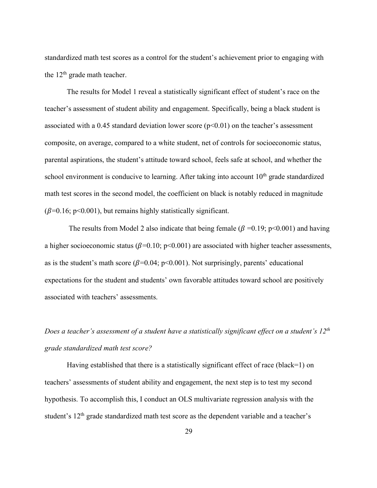standardized math test scores as a control for the student's achievement prior to engaging with the 12<sup>th</sup> grade math teacher.

The results for Model 1 reveal a statistically significant effect of student's race on the teacher's assessment of student ability and engagement. Specifically, being a black student is associated with a 0.45 standard deviation lower score  $(p<0.01)$  on the teacher's assessment composite, on average, compared to a white student, net of controls for socioeconomic status, parental aspirations, the student's attitude toward school, feels safe at school, and whether the school environment is conducive to learning. After taking into account  $10<sup>th</sup>$  grade standardized math test scores in the second model, the coefficient on black is notably reduced in magnitude  $(\beta=0.16; p<0.001)$ , but remains highly statistically significant.

The results from Model 2 also indicate that being female  $(\beta = 0.19; p < 0.001)$  and having a higher socioeconomic status ( $\beta$ =0.10; p<0.001) are associated with higher teacher assessments, as is the student's math score ( $\beta$ =0.04; p<0.001). Not surprisingly, parents' educational expectations for the student and students' own favorable attitudes toward school are positively associated with teachers' assessments.

# *Does a teacher's assessment of a student have a statistically significant effect on a student's 12th grade standardized math test score?*

Having established that there is a statistically significant effect of race (black=1) on teachers' assessments of student ability and engagement, the next step is to test my second hypothesis. To accomplish this, I conduct an OLS multivariate regression analysis with the student's 12<sup>th</sup> grade standardized math test score as the dependent variable and a teacher's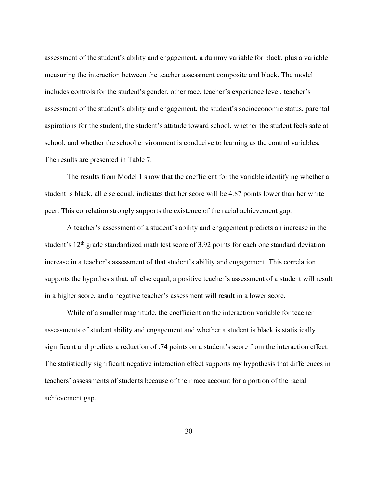assessment of the student's ability and engagement, a dummy variable for black, plus a variable measuring the interaction between the teacher assessment composite and black. The model includes controls for the student's gender, other race, teacher's experience level, teacher's assessment of the student's ability and engagement, the student's socioeconomic status, parental aspirations for the student, the student's attitude toward school, whether the student feels safe at school, and whether the school environment is conducive to learning as the control variables. The results are presented in Table 7.

The results from Model 1 show that the coefficient for the variable identifying whether a student is black, all else equal, indicates that her score will be 4.87 points lower than her white peer. This correlation strongly supports the existence of the racial achievement gap.

A teacher's assessment of a student's ability and engagement predicts an increase in the student's 12<sup>th</sup> grade standardized math test score of 3.92 points for each one standard deviation increase in a teacher's assessment of that student's ability and engagement. This correlation supports the hypothesis that, all else equal, a positive teacher's assessment of a student will result in a higher score, and a negative teacher's assessment will result in a lower score.

While of a smaller magnitude, the coefficient on the interaction variable for teacher assessments of student ability and engagement and whether a student is black is statistically significant and predicts a reduction of .74 points on a student's score from the interaction effect. The statistically significant negative interaction effect supports my hypothesis that differences in teachers' assessments of students because of their race account for a portion of the racial achievement gap.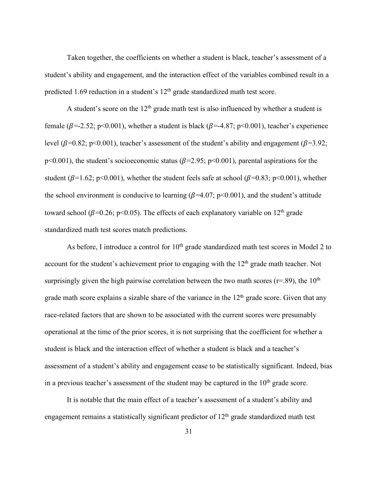Taken together, the coefficients on whether a student is black, teacher's assessment of a student's ability and engagement, and the interaction effect of the variables combined result in a predicted 1.69 reduction in a student's  $12<sup>th</sup>$  grade standardized math test score.

A student's score on the  $12<sup>th</sup>$  grade math test is also influenced by whether a student is female ( $\beta$ =-2.52; p<0.001), whether a student is black ( $\beta$ =-4.87; p<0.001), teacher's experience level ( $\beta$ =0.82; p<0.001), teacher's assessment of the student's ability and engagement ( $\beta$ =3.92;  $p<0.001$ ), the student's socioeconomic status ( $\beta=2.95$ ;  $p<0.001$ ), parental aspirations for the student ( $\beta$ =1.62; p<0.001), whether the student feels safe at school ( $\beta$ =0.83; p<0.001), whether the school environment is conducive to learning ( $\beta$ =4.07; p<0.001), and the student's attitude toward school ( $\beta$ =0.26; p<0.05). The effects of each explanatory variable on 12<sup>th</sup> grade standardized math test scores match predictions.

As before, I introduce a control for  $10<sup>th</sup>$  grade standardized math test scores in Model 2 to account for the student's achievement prior to engaging with the  $12<sup>th</sup>$  grade math teacher. Not surprisingly given the high pairwise correlation between the two math scores ( $r=0.89$ ), the 10<sup>th</sup> grade math score explains a sizable share of the variance in the  $12<sup>th</sup>$  grade score. Given that any race-related factors that are shown to be associated with the current scores were presumably operational at the time of the prior scores, it is not surprising that the coefficient for whether a student is black and the interaction effect of whether a student is black and a teacher's assessment of a student's ability and engagement cease to be statistically significant. Indeed, bias in a previous teacher's assessment of the student may be captured in the  $10<sup>th</sup>$  grade score.

It is notable that the main effect of a teacher's assessment of a student's ability and engagement remains a statistically significant predictor of  $12<sup>th</sup>$  grade standardized math test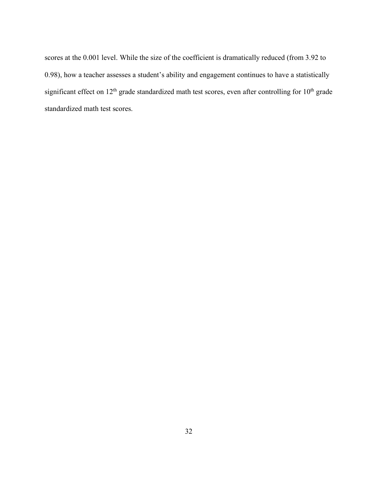scores at the 0.001 level. While the size of the coefficient is dramatically reduced (from 3.92 to 0.98), how a teacher assesses a student's ability and engagement continues to have a statistically significant effect on 12<sup>th</sup> grade standardized math test scores, even after controlling for 10<sup>th</sup> grade standardized math test scores.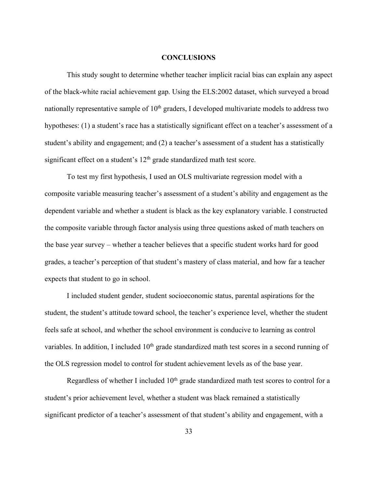#### **CONCLUSIONS**

This study sought to determine whether teacher implicit racial bias can explain any aspect of the black-white racial achievement gap. Using the ELS:2002 dataset, which surveyed a broad nationally representative sample of  $10<sup>th</sup>$  graders, I developed multivariate models to address two hypotheses: (1) a student's race has a statistically significant effect on a teacher's assessment of a student's ability and engagement; and (2) a teacher's assessment of a student has a statistically significant effect on a student's 12<sup>th</sup> grade standardized math test score.

To test my first hypothesis, I used an OLS multivariate regression model with a composite variable measuring teacher's assessment of a student's ability and engagement as the dependent variable and whether a student is black as the key explanatory variable. I constructed the composite variable through factor analysis using three questions asked of math teachers on the base year survey – whether a teacher believes that a specific student works hard for good grades, a teacher's perception of that student's mastery of class material, and how far a teacher expects that student to go in school.

I included student gender, student socioeconomic status, parental aspirations for the student, the student's attitude toward school, the teacher's experience level, whether the student feels safe at school, and whether the school environment is conducive to learning as control variables. In addition, I included 10<sup>th</sup> grade standardized math test scores in a second running of the OLS regression model to control for student achievement levels as of the base year.

Regardless of whether I included 10<sup>th</sup> grade standardized math test scores to control for a student's prior achievement level, whether a student was black remained a statistically significant predictor of a teacher's assessment of that student's ability and engagement, with a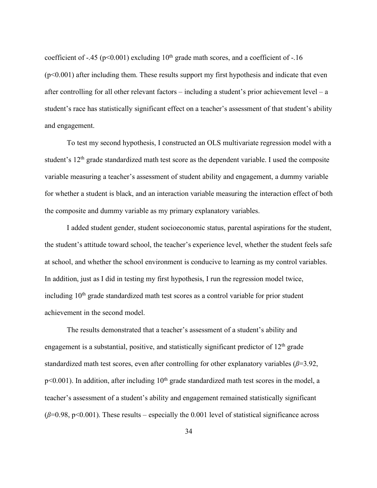coefficient of  $-45$  (p $\leq 0.001$ ) excluding  $10<sup>th</sup>$  grade math scores, and a coefficient of  $-16$  $(p<0.001)$  after including them. These results support my first hypothesis and indicate that even after controlling for all other relevant factors – including a student's prior achievement level – a student's race has statistically significant effect on a teacher's assessment of that student's ability and engagement.

To test my second hypothesis, I constructed an OLS multivariate regression model with a student's 12<sup>th</sup> grade standardized math test score as the dependent variable. I used the composite variable measuring a teacher's assessment of student ability and engagement, a dummy variable for whether a student is black, and an interaction variable measuring the interaction effect of both the composite and dummy variable as my primary explanatory variables.

I added student gender, student socioeconomic status, parental aspirations for the student, the student's attitude toward school, the teacher's experience level, whether the student feels safe at school, and whether the school environment is conducive to learning as my control variables. In addition, just as I did in testing my first hypothesis, I run the regression model twice, including  $10<sup>th</sup>$  grade standardized math test scores as a control variable for prior student achievement in the second model.

The results demonstrated that a teacher's assessment of a student's ability and engagement is a substantial, positive, and statistically significant predictor of  $12<sup>th</sup>$  grade standardized math test scores, even after controlling for other explanatory variables (*ß*=3.92,  $p$ <0.001). In addition, after including 10<sup>th</sup> grade standardized math test scores in the model, a teacher's assessment of a student's ability and engagement remained statistically significant  $(\beta=0.98, p<0.001)$ . These results – especially the 0.001 level of statistical significance across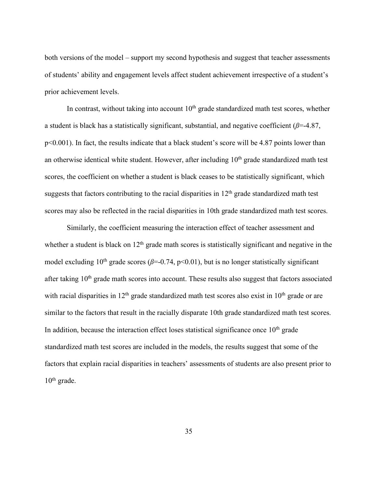both versions of the model – support my second hypothesis and suggest that teacher assessments of students' ability and engagement levels affect student achievement irrespective of a student's prior achievement levels.

In contrast, without taking into account  $10<sup>th</sup>$  grade standardized math test scores, whether a student is black has a statistically significant, substantial, and negative coefficient (*ß*=-4.87, p<0.001). In fact, the results indicate that a black student's score will be 4.87 points lower than an otherwise identical white student. However, after including 10<sup>th</sup> grade standardized math test scores, the coefficient on whether a student is black ceases to be statistically significant, which suggests that factors contributing to the racial disparities in  $12<sup>th</sup>$  grade standardized math test scores may also be reflected in the racial disparities in 10th grade standardized math test scores.

Similarly, the coefficient measuring the interaction effect of teacher assessment and whether a student is black on  $12<sup>th</sup>$  grade math scores is statistically significant and negative in the model excluding  $10^{th}$  grade scores ( $\beta$ =-0.74, p<0.01), but is no longer statistically significant after taking  $10<sup>th</sup>$  grade math scores into account. These results also suggest that factors associated with racial disparities in  $12<sup>th</sup>$  grade standardized math test scores also exist in  $10<sup>th</sup>$  grade or are similar to the factors that result in the racially disparate 10th grade standardized math test scores. In addition, because the interaction effect loses statistical significance once  $10<sup>th</sup>$  grade standardized math test scores are included in the models, the results suggest that some of the factors that explain racial disparities in teachers' assessments of students are also present prior to  $10<sup>th</sup>$  grade.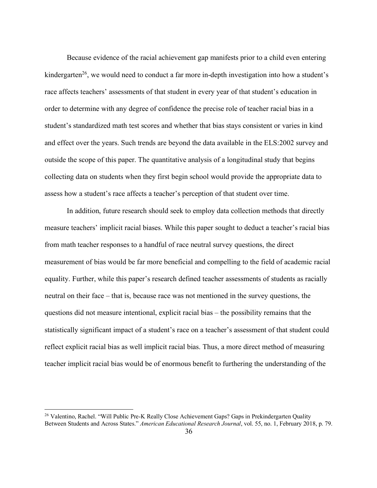Because evidence of the racial achievement gap manifests prior to a child even entering kindergarten<sup>26</sup>, we would need to conduct a far more in-depth investigation into how a student's race affects teachers' assessments of that student in every year of that student's education in order to determine with any degree of confidence the precise role of teacher racial bias in a student's standardized math test scores and whether that bias stays consistent or varies in kind and effect over the years. Such trends are beyond the data available in the ELS:2002 survey and outside the scope of this paper. The quantitative analysis of a longitudinal study that begins collecting data on students when they first begin school would provide the appropriate data to assess how a student's race affects a teacher's perception of that student over time.

In addition, future research should seek to employ data collection methods that directly measure teachers' implicit racial biases. While this paper sought to deduct a teacher's racial bias from math teacher responses to a handful of race neutral survey questions, the direct measurement of bias would be far more beneficial and compelling to the field of academic racial equality. Further, while this paper's research defined teacher assessments of students as racially neutral on their face – that is, because race was not mentioned in the survey questions, the questions did not measure intentional, explicit racial bias – the possibility remains that the statistically significant impact of a student's race on a teacher's assessment of that student could reflect explicit racial bias as well implicit racial bias. Thus, a more direct method of measuring teacher implicit racial bias would be of enormous benefit to furthering the understanding of the

 <sup>26</sup> Valentino, Rachel. "Will Public Pre-K Really Close Achievement Gaps? Gaps in Prekindergarten Quality Between Students and Across States." *American Educational Research Journal*, vol. 55, no. 1, February 2018, p. 79.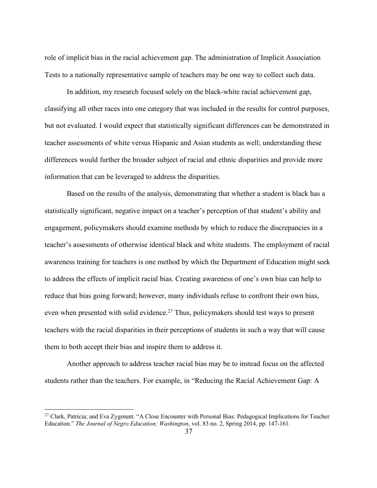role of implicit bias in the racial achievement gap. The administration of Implicit Association Tests to a nationally representative sample of teachers may be one way to collect such data.

In addition, my research focused solely on the black-white racial achievement gap, classifying all other races into one category that was included in the results for control purposes, but not evaluated. I would expect that statistically significant differences can be demonstrated in teacher assessments of white versus Hispanic and Asian students as well; understanding these differences would further the broader subject of racial and ethnic disparities and provide more information that can be leveraged to address the disparities.

Based on the results of the analysis, demonstrating that whether a student is black has a statistically significant, negative impact on a teacher's perception of that student's ability and engagement, policymakers should examine methods by which to reduce the discrepancies in a teacher's assessments of otherwise identical black and white students. The employment of racial awareness training for teachers is one method by which the Department of Education might seek to address the effects of implicit racial bias. Creating awareness of one's own bias can help to reduce that bias going forward; however, many individuals refuse to confront their own bias, even when presented with solid evidence.<sup>27</sup> Thus, policymakers should test ways to present teachers with the racial disparities in their perceptions of students in such a way that will cause them to both accept their bias and inspire them to address it.

Another approach to address teacher racial bias may be to instead focus on the affected students rather than the teachers. For example, in "Reducing the Racial Achievement Gap: A

<sup>&</sup>lt;sup>27</sup> Clark, Patricia; and Eva Zygmunt. "A Close Encounter with Personal Bias: Pedagogical Implications for Teacher Education." *The Journal of Negro Education; Washington*, vol. 83 no. 2, Spring 2014, pp. 147-161.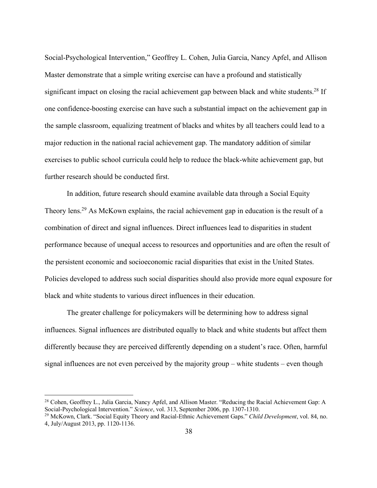Social-Psychological Intervention," Geoffrey L. Cohen, Julia Garcia, Nancy Apfel, and Allison Master demonstrate that a simple writing exercise can have a profound and statistically significant impact on closing the racial achievement gap between black and white students.<sup>28</sup> If one confidence-boosting exercise can have such a substantial impact on the achievement gap in the sample classroom, equalizing treatment of blacks and whites by all teachers could lead to a major reduction in the national racial achievement gap. The mandatory addition of similar exercises to public school curricula could help to reduce the black-white achievement gap, but further research should be conducted first.

In addition, future research should examine available data through a Social Equity Theory lens.<sup>29</sup> As McKown explains, the racial achievement gap in education is the result of a combination of direct and signal influences. Direct influences lead to disparities in student performance because of unequal access to resources and opportunities and are often the result of the persistent economic and socioeconomic racial disparities that exist in the United States. Policies developed to address such social disparities should also provide more equal exposure for black and white students to various direct influences in their education.

The greater challenge for policymakers will be determining how to address signal influences. Signal influences are distributed equally to black and white students but affect them differently because they are perceived differently depending on a student's race. Often, harmful signal influences are not even perceived by the majority group – white students – even though

<sup>&</sup>lt;sup>28</sup> Cohen, Geoffrey L., Julia Garcia, Nancy Apfel, and Allison Master. "Reducing the Racial Achievement Gap: A Social-Psychological Intervention." *Science*, vol. 313, September 2006, pp. 1307-1310.

<sup>29</sup> McKown, Clark. "Social Equity Theory and Racial-Ethnic Achievement Gaps." *Child Development*, vol. 84, no. 4, July/August 2013, pp. 1120-1136.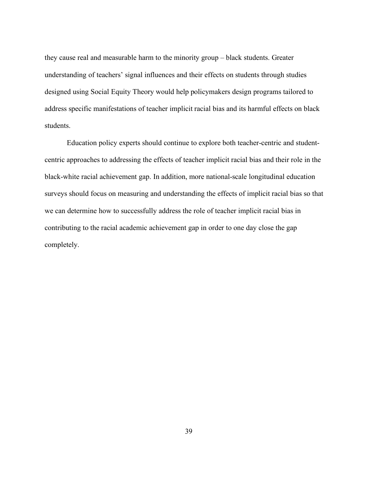they cause real and measurable harm to the minority group – black students. Greater understanding of teachers' signal influences and their effects on students through studies designed using Social Equity Theory would help policymakers design programs tailored to address specific manifestations of teacher implicit racial bias and its harmful effects on black students.

Education policy experts should continue to explore both teacher-centric and studentcentric approaches to addressing the effects of teacher implicit racial bias and their role in the black-white racial achievement gap. In addition, more national-scale longitudinal education surveys should focus on measuring and understanding the effects of implicit racial bias so that we can determine how to successfully address the role of teacher implicit racial bias in contributing to the racial academic achievement gap in order to one day close the gap completely.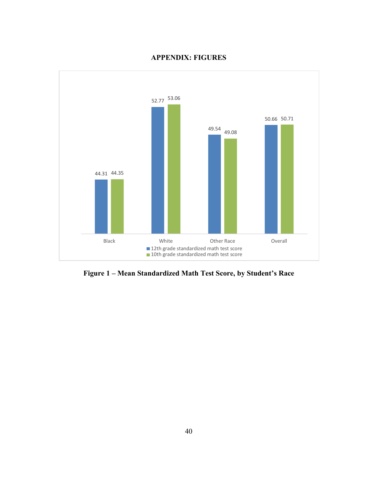

## **APPENDIX: FIGURES**

**Figure 1 – Mean Standardized Math Test Score, by Student's Race**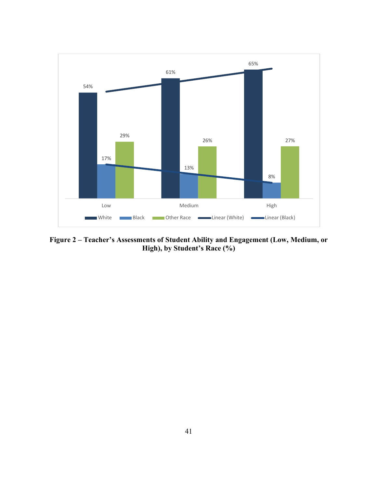

**Figure 2 – Teacher's Assessments of Student Ability and Engagement (Low, Medium, or High), by Student's Race (%)**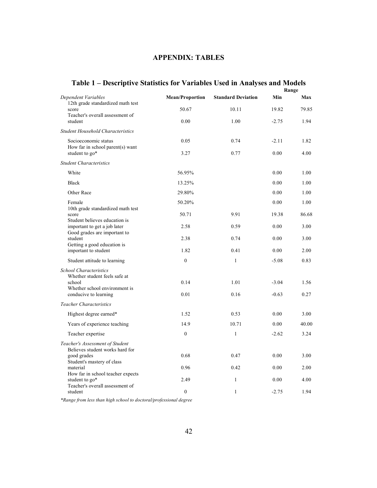## **APPENDIX: TABLES**

|                                                                                                                                    | $\cdots$               |                           |                    | Range        |
|------------------------------------------------------------------------------------------------------------------------------------|------------------------|---------------------------|--------------------|--------------|
| Dependent Variables                                                                                                                | <b>Mean/Proportion</b> | <b>Standard Deviation</b> | Min                | Max          |
| 12th grade standardized math test<br>score<br>Teacher's overall assessment of                                                      | 50.67                  | 10.11                     | 19.82              | 79.85        |
| student                                                                                                                            | 0.00                   | 1.00                      | $-2.75$            | 1.94         |
| <b>Student Household Characteristics</b>                                                                                           |                        |                           |                    |              |
| Socioeconomic status<br>How far in school parent(s) want<br>student to go*                                                         | 0.05<br>3.27           | 0.74<br>0.77              | $-2.11$<br>0.00    | 1.82<br>4.00 |
| <b>Student Characteristics</b>                                                                                                     |                        |                           |                    |              |
| White                                                                                                                              | 56.95%                 |                           | 0.00               | 1.00         |
| <b>Black</b>                                                                                                                       | 13.25%                 |                           | 0.00               | 1.00         |
| Other Race                                                                                                                         | 29.80%                 |                           | 0.00               | 1.00         |
| Female                                                                                                                             | 50.20%                 |                           | 0.00               | 1.00         |
| 10th grade standardized math test<br>score                                                                                         | 50.71                  | 9.91                      | 19.38              | 86.68        |
| Student believes education is<br>important to get a job later<br>Good grades are important to                                      | 2.58                   | 0.59                      | 0.00               | 3.00         |
| student                                                                                                                            | 2.38                   | 0.74                      | 0.00               | 3.00         |
| Getting a good education is<br>important to student                                                                                | 1.82                   | 0.41                      | 0.00               | 2.00         |
| Student attitude to learning                                                                                                       | $\boldsymbol{0}$       | $\mathbf{1}$              | $-5.08$            | 0.83         |
| <b>School Characteristics</b><br>Whether student feels safe at<br>school<br>Whether school environment is<br>conducive to learning | 0.14<br>0.01           | 1.01<br>0.16              | $-3.04$<br>$-0.63$ | 1.56<br>0.27 |
| <b>Teacher Characteristics</b>                                                                                                     |                        |                           |                    |              |
| Highest degree earned*                                                                                                             | 1.52                   | 0.53                      | 0.00               | 3.00         |
| Years of experience teaching                                                                                                       | 14.9                   | 10.71                     | 0.00               | 40.00        |
| Teacher expertise                                                                                                                  | $\boldsymbol{0}$       | $\mathbf{1}$              | $-2.62$            | 3.24         |
| Teacher's Assessment of Student<br>Believes student works hard for<br>good grades<br>Student's mastery of class<br>material        | 0.68<br>0.96           | 0.47<br>0.42              | 0.00<br>0.00       | 3.00<br>2.00 |
| How far in school teacher expects<br>student to go*<br>Teacher's overall assessment of                                             | 2.49                   | $\mathbf{1}$              | 0.00               | 4.00         |
| student                                                                                                                            | $\boldsymbol{0}$       | $\mathbf{1}$              | $-2.75$            | 1.94         |

## **Table 1 – Descriptive Statistics for Variables Used in Analyses and Models**

*\*Range from less than high school to doctoral/professional degree*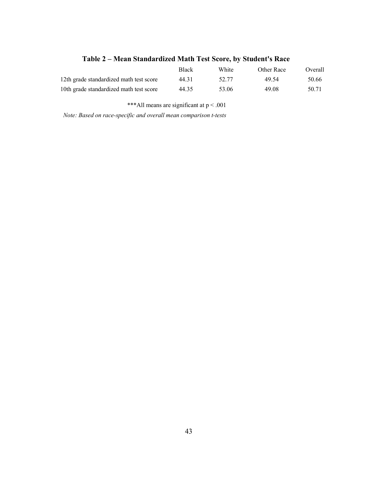# **Table 2 – Mean Standardized Math Test Score, by Student's Race**

|                                         | Black | White | Other Race | Overall |
|-----------------------------------------|-------|-------|------------|---------|
| 12th grade standardized math test score | 44.31 | 52.77 | 49.54      | 50.66   |
| 10th grade standardized math test score | 44.35 | 53.06 | 49.08      | 50.71   |

\*\*\*All means are significant at p < .001

*Note: Based on race-specific and overall mean comparison t-tests*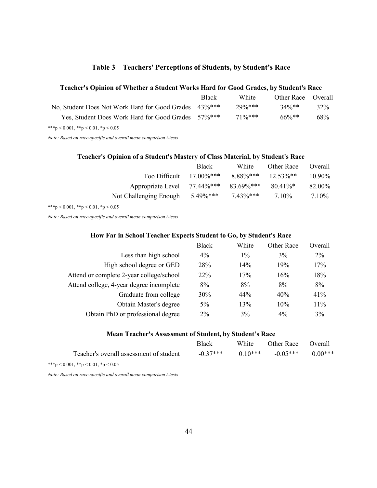## **Table 3 – Teachers' Perceptions of Students, by Student's Race**

#### **Teacher's Opinion of Whether a Student Works Hard for Good Grades, by Student's Race**

|                                                       | <b>Black</b> | White               | Other Race Overall |     |
|-------------------------------------------------------|--------------|---------------------|--------------------|-----|
| No, Student Does Not Work Hard for Good Grades 43%*** |              | $79\%***$           | $34\%**$           | 32% |
| Yes, Student Does Work Hard for Good Grades 57%***    |              | $71\frac{0}{8}$ *** | $66\%**$           | 68% |

\*\*\*p < 0.001, \*\*p < 0.01, \*p < 0.05

*Note: Based on race-specific and overall mean comparison t-tests*

#### **Teacher's Opinion of a Student's Mastery of Class Material, by Student's Race**

|                                       | <b>Black</b> | White        | Other Race            | Overall  |
|---------------------------------------|--------------|--------------|-----------------------|----------|
| Too Difficult $17.00\%***$            |              |              | $8.88\%$ *** 12.53%** | 10.90%   |
| Appropriate Level 77.44%*** 83.69%*** |              |              | $80.41\%$ *           | 82.00%   |
| Not Challenging Enough                | $5.49\%$ *** | $7.43\%$ *** | 7 10%                 | $7.10\%$ |

\*\*\*p < 0.001, \*\*p < 0.01, \*p < 0.05

*Note: Based on race-specific and overall mean comparison t-tests*

#### **How Far in School Teacher Expects Student to Go, by Student's Race**

|                                          | <b>Black</b> | White | Other Race | Overall |
|------------------------------------------|--------------|-------|------------|---------|
| Less than high school                    | 4%           | $1\%$ | 3%         | $2\%$   |
| High school degree or GED                | 28%          | 14%   | 19%        | 17%     |
| Attend or complete 2-year college/school | 22%          | 17%   | 16%        | 18%     |
| Attend college, 4-year degree incomplete | 8%           | 8%    | 8%         | 8%      |
| Graduate from college                    | 30%          | 44%   | 40%        | 41%     |
| Obtain Master's degree                   | 5%           | 13%   | 10%        | 11%     |
| Obtain PhD or professional degree        | $2\%$        | 3%    | $4\%$      | 3%      |
|                                          |              |       |            |         |

|                                         | <b>Black</b> | White     | Other Race | () verall |
|-----------------------------------------|--------------|-----------|------------|-----------|
| Teacher's overall assessment of student | $-0.37***$   | $0.10***$ | $-0.05***$ | $0.00***$ |
| ***p < 0.001, **p < 0.01, *p < 0.05     |              |           |            |           |

*Note: Based on race-specific and overall mean comparison t-tests*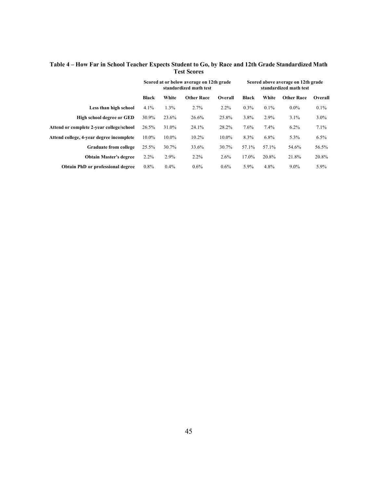|                                          | Scored at or below average on 12th grade<br>standardized math test |          |                   |         |              |         | Scored above average on 12th grade<br>standardized math test |         |
|------------------------------------------|--------------------------------------------------------------------|----------|-------------------|---------|--------------|---------|--------------------------------------------------------------|---------|
|                                          | <b>Black</b>                                                       | White    | <b>Other Race</b> | Overall | <b>Black</b> | White   | <b>Other Race</b>                                            | Overall |
| Less than high school                    | 4.1%                                                               | 1.3%     | 2.7%              | $2.2\%$ | $0.3\%$      | $0.1\%$ | $0.0\%$                                                      | $0.1\%$ |
| High school degree or GED                | 30.9%                                                              | 23.6%    | 26.6%             | 25.8%   | 3.8%         | 2.9%    | 3.1%                                                         | $3.0\%$ |
| Attend or complete 2-year college/school | 26.5%                                                              | 31.0%    | 24.1%             | 28.2%   | 7.6%         | 7.4%    | 6.2%                                                         | 7.1%    |
| Attend college, 4-year degree incomplete | 10.0%                                                              | $10.0\%$ | 10.2%             | 10.0%   | 8.3%         | 6.8%    | 5.3%                                                         | 6.5%    |
| <b>Graduate from college</b>             | 25.5%                                                              | 30.7%    | 33.6%             | 30.7%   | 57.1%        | 57.1%   | 54.6%                                                        | 56.5%   |
| <b>Obtain Master's degree</b>            | 2.2%                                                               | 2.9%     | 2.2%              | 2.6%    | 17.0%        | 20.8%   | 21.8%                                                        | 20.8%   |
| <b>Obtain PhD or professional degree</b> | 0.8%                                                               | $0.4\%$  | $0.6\%$           | $0.6\%$ | 5.9%         | 4.8%    | $9.0\%$                                                      | 5.9%    |

#### **Table 4 – How Far in School Teacher Expects Student to Go, by Race and 12th Grade Standardized Math Test Scores**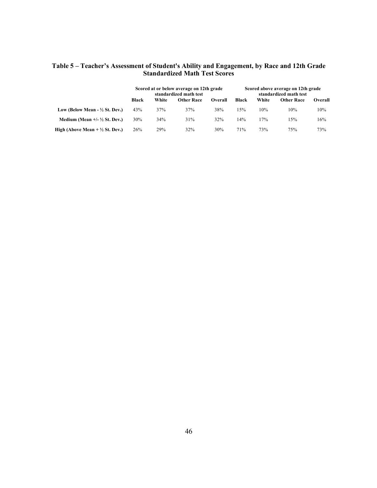#### **Table 5 – Teacher's Assessment of Student's Ability and Engagement, by Race and 12th Grade Standardized Math Test Scores**

|                                            | Scored at or below average on 12th grade<br>standardized math test |       |                   |         |       | Scored above average on 12th grade<br>standardized math test |                   |         |
|--------------------------------------------|--------------------------------------------------------------------|-------|-------------------|---------|-------|--------------------------------------------------------------|-------------------|---------|
|                                            | Black                                                              | White | <b>Other Race</b> | Overall | Black | White                                                        | <b>Other Race</b> | Overall |
| Low (Below Mean - $\frac{1}{2}$ St. Dev.)  | 43%                                                                | 37%   | 37%               | 38%     | 15%   | 10%                                                          | 10%               | 10%     |
| Medium (Mean $+/ \frac{1}{2}$ St. Dev.)    | 30%                                                                | 34%   | 31%               | 32%     | 14%   | 17%                                                          | 15%               | 16%     |
| High (Above Mean $+ \frac{1}{2}$ St. Dev.) | 26%                                                                | 29%   | 32%               | 30%     | 71%   | 73%                                                          | 75%               | 73%     |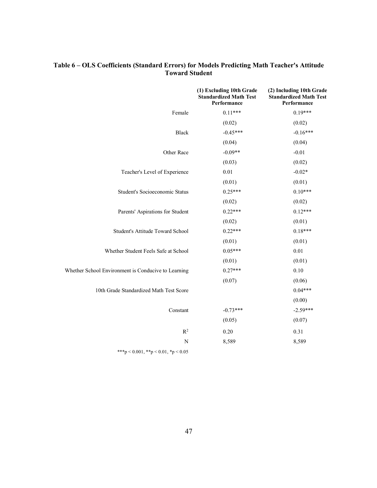#### **Table 6 – OLS Coefficients (Standard Errors) for Models Predicting Math Teacher's Attitude Toward Student**

|                                                     | (1) Excluding 10th Grade<br><b>Standardized Math Test</b><br>Performance | (2) Including 10th Grade<br><b>Standardized Math Test</b><br>Performance |
|-----------------------------------------------------|--------------------------------------------------------------------------|--------------------------------------------------------------------------|
| Female                                              | $0.11***$                                                                | $0.19***$                                                                |
|                                                     | (0.02)                                                                   | (0.02)                                                                   |
| <b>Black</b>                                        | $-0.45***$                                                               | $-0.16***$                                                               |
|                                                     | (0.04)                                                                   | (0.04)                                                                   |
| Other Race                                          | $-0.09**$                                                                | $-0.01$                                                                  |
|                                                     | (0.03)                                                                   | (0.02)                                                                   |
| Teacher's Level of Experience                       | 0.01                                                                     | $-0.02*$                                                                 |
|                                                     | (0.01)                                                                   | (0.01)                                                                   |
| Student's Socioeconomic Status                      | $0.25***$                                                                | $0.10***$                                                                |
|                                                     | (0.02)                                                                   | (0.02)                                                                   |
| Parents' Aspirations for Student                    | $0.22***$                                                                | $0.12***$                                                                |
|                                                     | (0.02)                                                                   | (0.01)                                                                   |
| <b>Student's Attitude Toward School</b>             | $0.22***$                                                                | $0.18***$                                                                |
|                                                     | (0.01)                                                                   | (0.01)                                                                   |
| Whether Student Feels Safe at School                | $0.05***$                                                                | 0.01                                                                     |
|                                                     | (0.01)                                                                   | (0.01)                                                                   |
| Whether School Environment is Conducive to Learning | $0.27***$                                                                | 0.10                                                                     |
|                                                     | (0.07)                                                                   | (0.06)                                                                   |
| 10th Grade Standardized Math Test Score             |                                                                          | $0.04***$                                                                |
|                                                     |                                                                          | (0.00)                                                                   |
| Constant                                            | $-0.73***$                                                               | $-2.59***$                                                               |
|                                                     | (0.05)                                                                   | (0.07)                                                                   |
| $R^2$                                               | 0.20                                                                     | 0.31                                                                     |
| N                                                   | 8,589                                                                    | 8,589                                                                    |
| ***p < 0.001, **p < 0.01, *p < 0.05                 |                                                                          |                                                                          |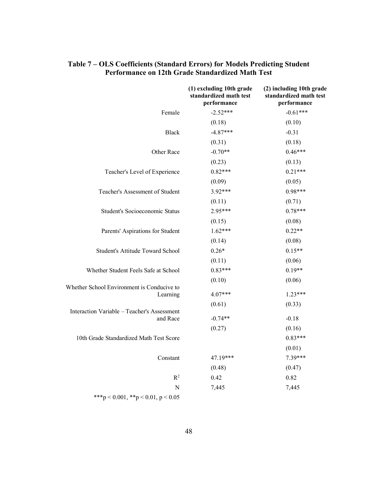|                                                         | (1) excluding 10th grade<br>standardized math test<br>performance | (2) including 10th grade<br>standardized math test<br>performance |  |
|---------------------------------------------------------|-------------------------------------------------------------------|-------------------------------------------------------------------|--|
| Female                                                  | $-2.52***$                                                        | $-0.61***$                                                        |  |
|                                                         | (0.18)                                                            | (0.10)                                                            |  |
| <b>Black</b>                                            | $-4.87***$                                                        | $-0.31$                                                           |  |
|                                                         | (0.31)                                                            | (0.18)                                                            |  |
| Other Race                                              | $-0.70**$                                                         | $0.46***$                                                         |  |
|                                                         | (0.23)                                                            | (0.13)                                                            |  |
| Teacher's Level of Experience                           | $0.82***$                                                         | $0.21***$                                                         |  |
|                                                         | (0.09)                                                            | (0.05)                                                            |  |
| Teacher's Assessment of Student                         | 3.92***                                                           | $0.98***$                                                         |  |
|                                                         | (0.11)                                                            | (0.71)                                                            |  |
| <b>Student's Socioeconomic Status</b>                   | 2.95***                                                           | $0.78***$                                                         |  |
|                                                         | (0.15)                                                            | (0.08)                                                            |  |
| Parents' Aspirations for Student                        | $1.62***$                                                         | $0.22**$                                                          |  |
|                                                         | (0.14)                                                            | (0.08)                                                            |  |
| <b>Student's Attitude Toward School</b>                 | $0.26*$                                                           | $0.15**$                                                          |  |
|                                                         | (0.11)                                                            | (0.06)                                                            |  |
| Whether Student Feels Safe at School                    | $0.83***$                                                         | $0.19**$                                                          |  |
|                                                         | (0.10)                                                            | (0.06)                                                            |  |
| Whether School Environment is Conducive to<br>Learning  | 4.07***                                                           | $1.23***$                                                         |  |
|                                                         | (0.61)                                                            | (0.33)                                                            |  |
| Interaction Variable - Teacher's Assessment<br>and Race | $-0.74**$                                                         | $-0.18$                                                           |  |
|                                                         | (0.27)                                                            | (0.16)                                                            |  |
| 10th Grade Standardized Math Test Score                 |                                                                   | $0.83***$                                                         |  |
|                                                         |                                                                   | (0.01)                                                            |  |
| Constant                                                | 47.19***                                                          | 7.39***                                                           |  |
|                                                         | (0.48)                                                            | (0.47)                                                            |  |
| $R^2$                                                   | 0.42                                                              | 0.82                                                              |  |
| N                                                       | 7,445                                                             | 7,445                                                             |  |
| ***p < 0.001, **p < 0.01, p < 0.05                      |                                                                   |                                                                   |  |

## **Table 7 – OLS Coefficients (Standard Errors) for Models Predicting Student Performance on 12th Grade Standardized Math Test**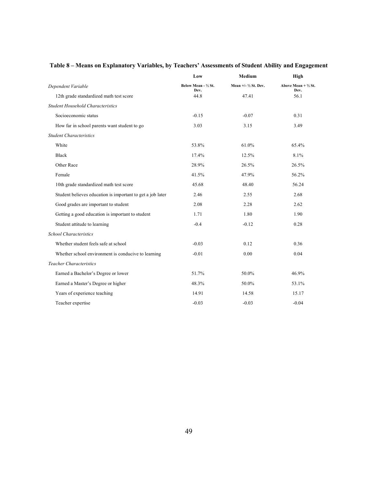|                                                            | Low                          | <b>Medium</b>                  | High                                   |
|------------------------------------------------------------|------------------------------|--------------------------------|----------------------------------------|
| Dependent Variable                                         | Below Mean - 1/2 St.<br>Dev. | Mean $+/ \frac{1}{2}$ St. Dev. | Above Mean $+ \frac{1}{2}$ St.<br>Dev. |
| 12th grade standardized math test score                    | 44.8                         | 47.41                          | 56.1                                   |
| <b>Student Household Characteristics</b>                   |                              |                                |                                        |
| Socioeconomic status                                       | $-0.15$                      | $-0.07$                        | 0.31                                   |
| How far in school parents want student to go               | 3.03                         | 3.15                           | 3.49                                   |
| <b>Student Characteristics</b>                             |                              |                                |                                        |
| White                                                      | 53.8%                        | 61.0%                          | 65.4%                                  |
| <b>Black</b>                                               | 17.4%                        | 12.5%                          | 8.1%                                   |
| Other Race                                                 | 28.9%                        | 26.5%                          | 26.5%                                  |
| Female                                                     | 41.5%                        | 47.9%                          | 56.2%                                  |
| 10th grade standardized math test score                    | 45.68                        | 48.40                          | 56.24                                  |
| Student believes education is important to get a job later | 2.46                         | 2.55                           | 2.68                                   |
| Good grades are important to student                       | 2.08                         | 2.28                           | 2.62                                   |
| Getting a good education is important to student           | 1.71                         | 1.80                           | 1.90                                   |
| Student attitude to learning                               | $-0.4$                       | $-0.12$                        | 0.28                                   |
| <b>School Characteristics</b>                              |                              |                                |                                        |
| Whether student feels safe at school                       | $-0.03$                      | 0.12                           | 0.36                                   |
| Whether school environment is conducive to learning        | $-0.01$                      | 0.00                           | 0.04                                   |
| <b>Teacher Characteristics</b>                             |                              |                                |                                        |
| Earned a Bachelor's Degree or lower                        | 51.7%                        | 50.0%                          | 46.9%                                  |
| Earned a Master's Degree or higher                         | 48.3%                        | 50.0%                          | 53.1%                                  |
| Years of experience teaching                               | 14.91                        | 14.58                          | 15.17                                  |
| Teacher expertise                                          | $-0.03$                      | $-0.03$                        | $-0.04$                                |

# **Table 8 – Means on Explanatory Variables, by Teachers' Assessments of Student Ability and Engagement**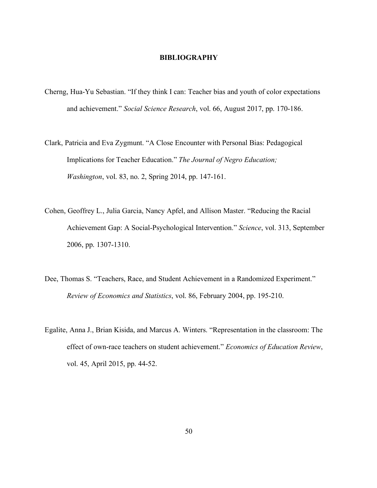## **BIBLIOGRAPHY**

- Cherng, Hua-Yu Sebastian. "If they think I can: Teacher bias and youth of color expectations and achievement." *Social Science Research*, vol. 66, August 2017, pp. 170-186.
- Clark, Patricia and Eva Zygmunt. "A Close Encounter with Personal Bias: Pedagogical Implications for Teacher Education." *The Journal of Negro Education; Washington*, vol. 83, no. 2, Spring 2014, pp. 147-161.
- Cohen, Geoffrey L., Julia Garcia, Nancy Apfel, and Allison Master. "Reducing the Racial Achievement Gap: A Social-Psychological Intervention." *Science*, vol. 313, September 2006, pp. 1307-1310.
- Dee, Thomas S. "Teachers, Race, and Student Achievement in a Randomized Experiment." *Review of Economics and Statistics*, vol. 86, February 2004, pp. 195-210.
- Egalite, Anna J., Brian Kisida, and Marcus A. Winters. "Representation in the classroom: The effect of own-race teachers on student achievement." *Economics of Education Review*, vol. 45, April 2015, pp. 44-52.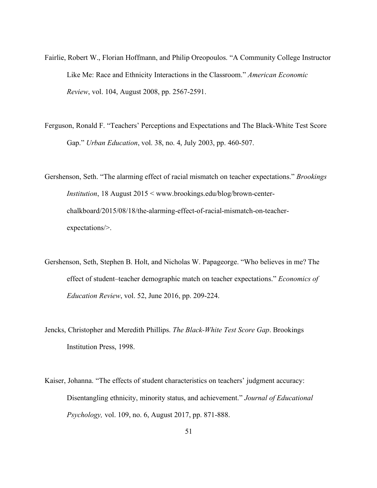- Fairlie, Robert W., Florian Hoffmann, and Philip Oreopoulos. "A Community College Instructor Like Me: Race and Ethnicity Interactions in the Classroom." *American Economic Review*, vol. 104, August 2008, pp. 2567-2591.
- Ferguson, Ronald F. "Teachers' Perceptions and Expectations and The Black-White Test Score Gap." *Urban Education*, vol. 38, no. 4, July 2003, pp. 460-507.
- Gershenson, Seth. "The alarming effect of racial mismatch on teacher expectations." *Brookings Institution*, 18 August 2015 < www.brookings.edu/blog/brown-centerchalkboard/2015/08/18/the-alarming-effect-of-racial-mismatch-on-teacherexpectations/>.
- Gershenson, Seth, Stephen B. Holt, and Nicholas W. Papageorge. "Who believes in me? The effect of student–teacher demographic match on teacher expectations." *Economics of Education Review*, vol. 52, June 2016, pp. 209-224.
- Jencks, Christopher and Meredith Phillips. *The Black-White Test Score Gap*. Brookings Institution Press, 1998.
- Kaiser, Johanna. "The effects of student characteristics on teachers' judgment accuracy: Disentangling ethnicity, minority status, and achievement." *Journal of Educational Psychology,* vol. 109, no. 6, August 2017, pp. 871-888.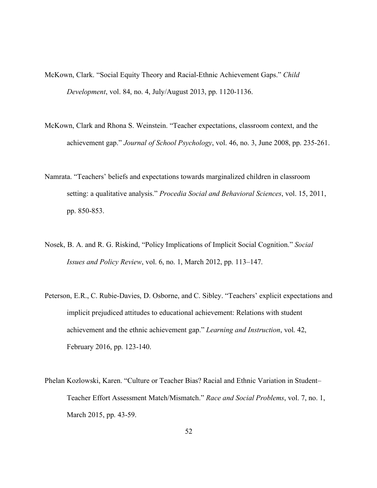- McKown, Clark. "Social Equity Theory and Racial-Ethnic Achievement Gaps." *Child Development*, vol. 84, no. 4, July/August 2013, pp. 1120-1136.
- McKown, Clark and Rhona S. Weinstein. "Teacher expectations, classroom context, and the achievement gap." *Journal of School Psychology*, vol. 46, no. 3, June 2008, pp. 235-261.
- Namrata. "Teachers' beliefs and expectations towards marginalized children in classroom setting: a qualitative analysis." *Procedia Social and Behavioral Sciences*, vol. 15, 2011, pp. 850-853.
- Nosek, B. A. and R. G. Riskind, "Policy Implications of Implicit Social Cognition." *Social Issues and Policy Review*, vol. 6, no. 1, March 2012, pp. 113–147.
- Peterson, E.R., C. Rubie-Davies, D. Osborne, and C. Sibley. "Teachers' explicit expectations and implicit prejudiced attitudes to educational achievement: Relations with student achievement and the ethnic achievement gap." *Learning and Instruction*, vol. 42, February 2016, pp. 123-140.
- Phelan Kozlowski, Karen. "Culture or Teacher Bias? Racial and Ethnic Variation in Student– Teacher Effort Assessment Match/Mismatch." *Race and Social Problems*, vol. 7, no. 1, March 2015, pp. 43-59.